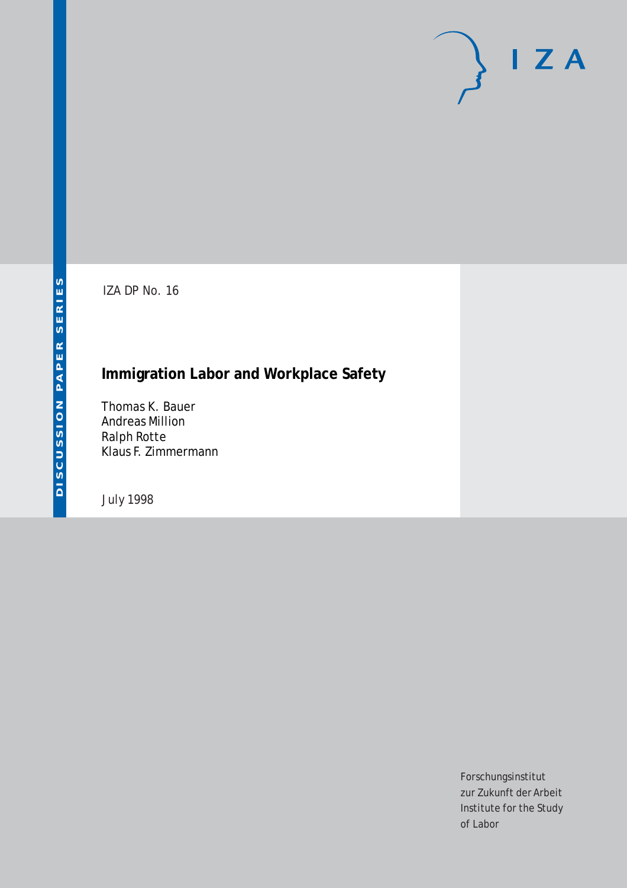# $I Z A$

IZA DP No. 16

# **Immigration Labor and Workplace Safety**

Thomas K. Bauer Andreas Million Ralph Rotte Klaus F. Zimmermann

July 1998

Forschungsinstitut zur Zukunft der Arbeit Institute for the Study of Labor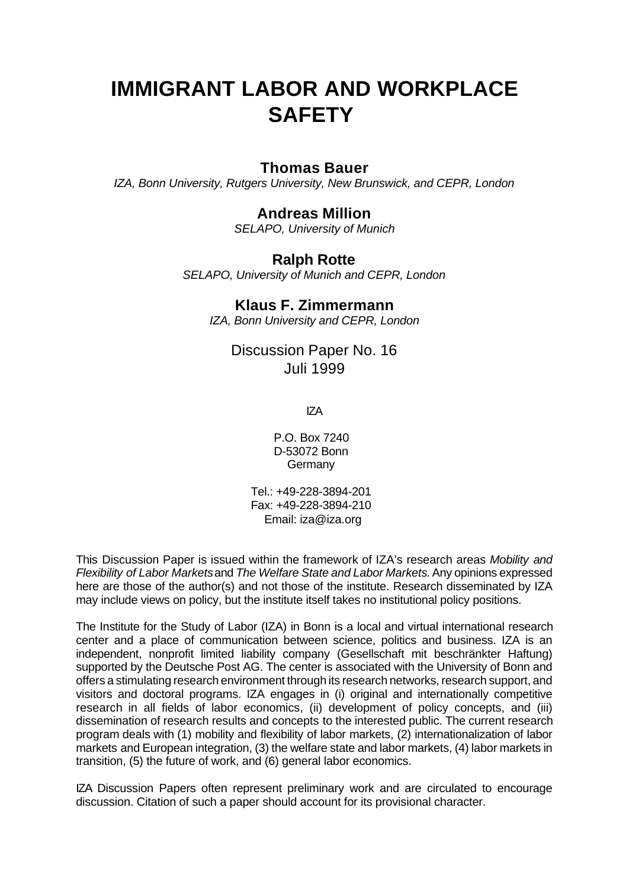# **IMMIGRANT LABOR AND WORKPLACE SAFETY**

### **Thomas Bauer**

*IZA, Bonn University, Rutgers University, New Brunswick, and CEPR, London*

### **Andreas Million**

*SELAPO, University of Munich*

### **Ralph Rotte**

*SELAPO, University of Munich and CEPR, London*

### **Klaus F. Zimmermann**

*IZA, Bonn University and CEPR, London*

Discussion Paper No. 16 Juli 1999

IZA

P.O. Box 7240 D-53072 Bonn **Germany** 

Tel.: +49-228-3894-201 Fax: +49-228-3894-210 Email: iza@iza.org

This Discussion Paper is issued within the framework of IZA's research areas *Mobility and Flexibility of Labor Markets* and *The Welfare State and Labor Markets.* Any opinions expressed here are those of the author(s) and not those of the institute. Research disseminated by IZA may include views on policy, but the institute itself takes no institutional policy positions.

The Institute for the Study of Labor (IZA) in Bonn is a local and virtual international research center and a place of communication between science, politics and business. IZA is an independent, nonprofit limited liability company (Gesellschaft mit beschränkter Haftung) supported by the Deutsche Post AG. The center is associated with the University of Bonn and offers a stimulating research environment through its research networks, research support, and visitors and doctoral programs. IZA engages in (i) original and internationally competitive research in all fields of labor economics, (ii) development of policy concepts, and (iii) dissemination of research results and concepts to the interested public. The current research program deals with (1) mobility and flexibility of labor markets, (2) internationalization of labor markets and European integration, (3) the welfare state and labor markets, (4) labor markets in transition, (5) the future of work, and (6) general labor economics.

IZA Discussion Papers often represent preliminary work and are circulated to encourage discussion. Citation of such a paper should account for its provisional character.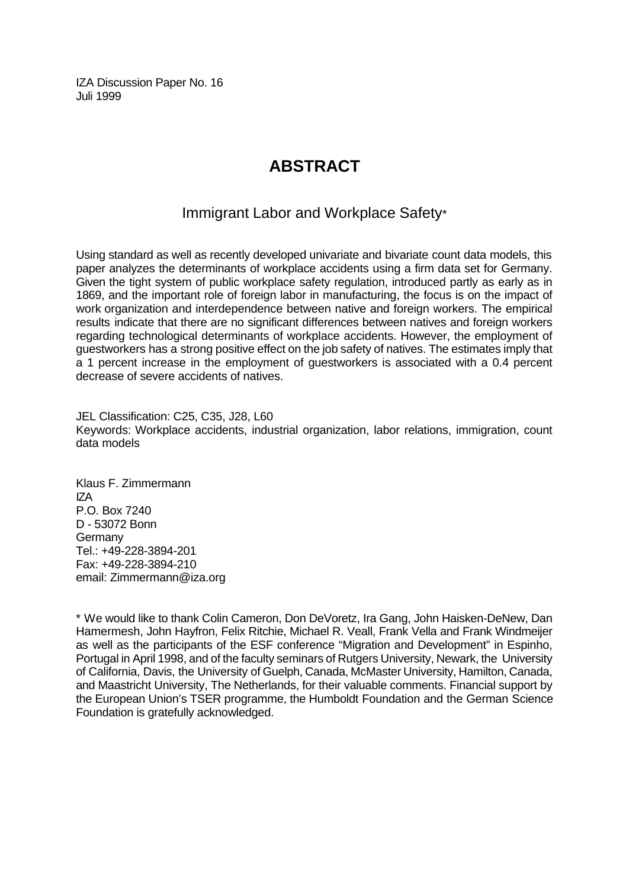IZA Discussion Paper No. 16 Juli 1999

# **ABSTRACT**

## Immigrant Labor and Workplace Safety\*

Using standard as well as recently developed univariate and bivariate count data models, this paper analyzes the determinants of workplace accidents using a firm data set for Germany. Given the tight system of public workplace safety regulation, introduced partly as early as in 1869, and the important role of foreign labor in manufacturing, the focus is on the impact of work organization and interdependence between native and foreign workers. The empirical results indicate that there are no significant differences between natives and foreign workers regarding technological determinants of workplace accidents. However, the employment of guestworkers has a strong positive effect on the job safety of natives. The estimates imply that a 1 percent increase in the employment of guestworkers is associated with a 0.4 percent decrease of severe accidents of natives.

JEL Classification: C25, C35, J28, L60 Keywords: Workplace accidents, industrial organization, labor relations, immigration, count data models

Klaus F. Zimmermann IZA P.O. Box 7240 D - 53072 Bonn **Germany** Tel.: +49-228-3894-201 Fax: +49-228-3894-210 email: Zimmermann@iza.org

\* We would like to thank Colin Cameron, Don DeVoretz, Ira Gang, John Haisken-DeNew, Dan Hamermesh, John Hayfron, Felix Ritchie, Michael R. Veall, Frank Vella and Frank Windmeijer as well as the participants of the ESF conference "Migration and Development" in Espinho, Portugal in April 1998, and of the faculty seminars of Rutgers University, Newark, the University of California, Davis, the University of Guelph, Canada, McMaster University, Hamilton, Canada, and Maastricht University, The Netherlands, for their valuable comments. Financial support by the European Union's TSER programme, the Humboldt Foundation and the German Science Foundation is gratefully acknowledged.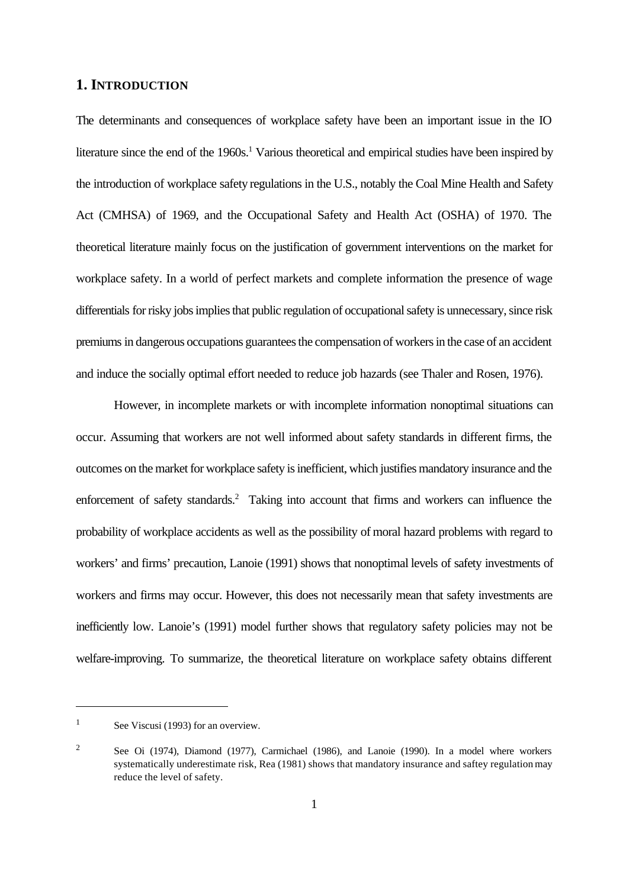### **1. INTRODUCTION**

The determinants and consequences of workplace safety have been an important issue in the IO literature since the end of the 1960s.<sup>1</sup> Various theoretical and empirical studies have been inspired by the introduction of workplace safety regulations in the U.S., notably the Coal Mine Health and Safety Act (CMHSA) of 1969, and the Occupational Safety and Health Act (OSHA) of 1970. The theoretical literature mainly focus on the justification of government interventions on the market for workplace safety. In a world of perfect markets and complete information the presence of wage differentials for risky jobs implies that public regulation of occupational safety is unnecessary, since risk premiums in dangerous occupations guarantees the compensation of workers in the case of an accident and induce the socially optimal effort needed to reduce job hazards (see Thaler and Rosen, 1976).

However, in incomplete markets or with incomplete information nonoptimal situations can occur. Assuming that workers are not well informed about safety standards in different firms, the outcomes on the market for workplace safety is inefficient, which justifies mandatory insurance and the enforcement of safety standards.<sup>2</sup> Taking into account that firms and workers can influence the probability of workplace accidents as well as the possibility of moral hazard problems with regard to workers' and firms' precaution, Lanoie (1991) shows that nonoptimal levels of safety investments of workers and firms may occur. However, this does not necessarily mean that safety investments are inefficiently low. Lanoie's (1991) model further shows that regulatory safety policies may not be welfare-improving. To summarize, the theoretical literature on workplace safety obtains different

<sup>&</sup>lt;sup>1</sup> See Viscusi (1993) for an overview.

<sup>&</sup>lt;sup>2</sup> See Oi (1974), Diamond (1977), Carmichael (1986), and Lanoie (1990). In a model where workers systematically underestimate risk, Rea (1981) shows that mandatory insurance and saftey regulation may reduce the level of safety.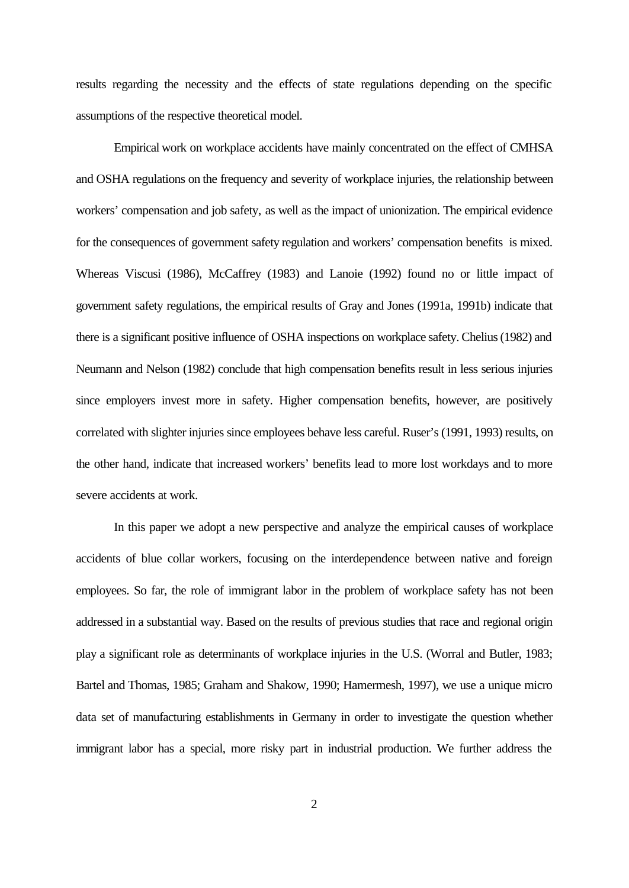results regarding the necessity and the effects of state regulations depending on the specific assumptions of the respective theoretical model.

Empirical work on workplace accidents have mainly concentrated on the effect of CMHSA and OSHA regulations on the frequency and severity of workplace injuries, the relationship between workers' compensation and job safety, as well as the impact of unionization. The empirical evidence for the consequences of government safety regulation and workers' compensation benefits is mixed. Whereas Viscusi (1986), McCaffrey (1983) and Lanoie (1992) found no or little impact of government safety regulations, the empirical results of Gray and Jones (1991a, 1991b) indicate that there is a significant positive influence of OSHA inspections on workplace safety. Chelius (1982) and Neumann and Nelson (1982) conclude that high compensation benefits result in less serious injuries since employers invest more in safety. Higher compensation benefits, however, are positively correlated with slighter injuries since employees behave less careful. Ruser's (1991, 1993) results, on the other hand, indicate that increased workers' benefits lead to more lost workdays and to more severe accidents at work.

In this paper we adopt a new perspective and analyze the empirical causes of workplace accidents of blue collar workers, focusing on the interdependence between native and foreign employees. So far, the role of immigrant labor in the problem of workplace safety has not been addressed in a substantial way. Based on the results of previous studies that race and regional origin play a significant role as determinants of workplace injuries in the U.S. (Worral and Butler, 1983; Bartel and Thomas, 1985; Graham and Shakow, 1990; Hamermesh, 1997), we use a unique micro data set of manufacturing establishments in Germany in order to investigate the question whether immigrant labor has a special, more risky part in industrial production. We further address the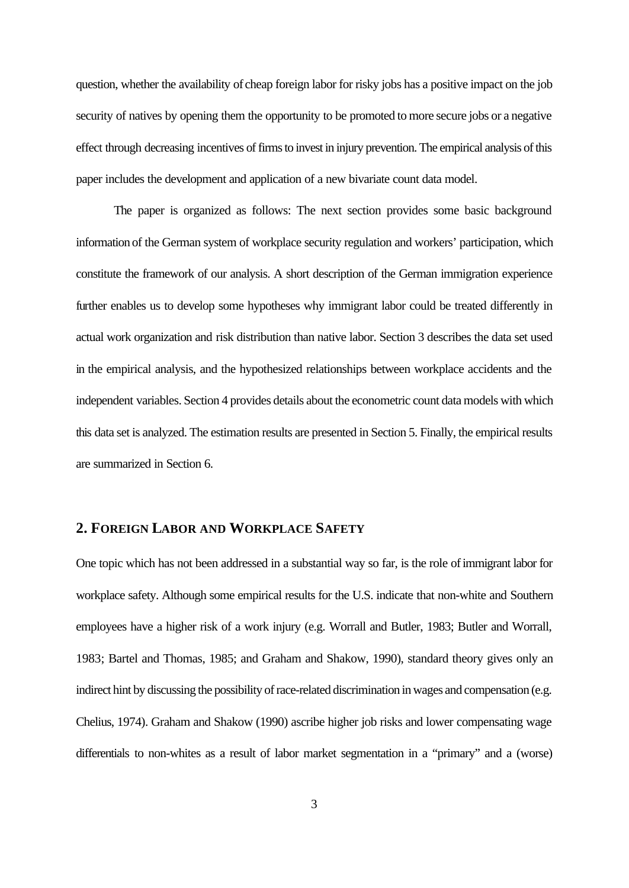question, whether the availability of cheap foreign labor for risky jobs has a positive impact on the job security of natives by opening them the opportunity to be promoted to more secure jobs or a negative effect through decreasing incentives of firms to invest in injury prevention. The empirical analysis of this paper includes the development and application of a new bivariate count data model.

The paper is organized as follows: The next section provides some basic background information of the German system of workplace security regulation and workers' participation, which constitute the framework of our analysis. A short description of the German immigration experience further enables us to develop some hypotheses why immigrant labor could be treated differently in actual work organization and risk distribution than native labor. Section 3 describes the data set used in the empirical analysis, and the hypothesized relationships between workplace accidents and the independent variables. Section 4 provides details about the econometric count data models with which this data set is analyzed. The estimation results are presented in Section 5. Finally, the empirical results are summarized in Section 6.

### **2. FOREIGN LABOR AND WORKPLACE SAFETY**

One topic which has not been addressed in a substantial way so far, is the role of immigrant labor for workplace safety. Although some empirical results for the U.S. indicate that non-white and Southern employees have a higher risk of a work injury (e.g. Worrall and Butler, 1983; Butler and Worrall, 1983; Bartel and Thomas, 1985; and Graham and Shakow, 1990), standard theory gives only an indirect hint by discussing the possibility of race-related discrimination in wages and compensation (e.g. Chelius, 1974). Graham and Shakow (1990) ascribe higher job risks and lower compensating wage differentials to non-whites as a result of labor market segmentation in a "primary" and a (worse)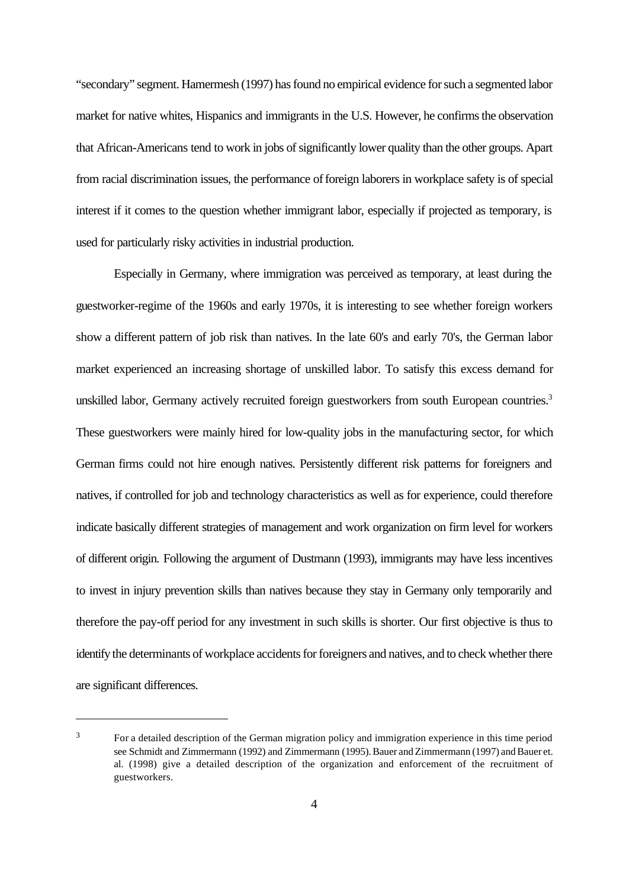"secondary" segment. Hamermesh (1997) has found no empirical evidence for such a segmented labor market for native whites, Hispanics and immigrants in the U.S. However, he confirms the observation that African-Americans tend to work in jobs of significantly lower quality than the other groups. Apart from racial discrimination issues, the performance of foreign laborers in workplace safety is of special interest if it comes to the question whether immigrant labor, especially if projected as temporary, is used for particularly risky activities in industrial production.

Especially in Germany, where immigration was perceived as temporary, at least during the guestworker-regime of the 1960s and early 1970s, it is interesting to see whether foreign workers show a different pattern of job risk than natives. In the late 60's and early 70's, the German labor market experienced an increasing shortage of unskilled labor. To satisfy this excess demand for unskilled labor, Germany actively recruited foreign guestworkers from south European countries.<sup>3</sup> These guestworkers were mainly hired for low-quality jobs in the manufacturing sector, for which German firms could not hire enough natives. Persistently different risk patterns for foreigners and natives, if controlled for job and technology characteristics as well as for experience, could therefore indicate basically different strategies of management and work organization on firm level for workers of different origin. Following the argument of Dustmann (1993), immigrants may have less incentives to invest in injury prevention skills than natives because they stay in Germany only temporarily and therefore the pay-off period for any investment in such skills is shorter. Our first objective is thus to identify the determinants of workplace accidents for foreigners and natives, and to check whether there are significant differences.

<sup>&</sup>lt;sup>3</sup> For a detailed description of the German migration policy and immigration experience in this time period see Schmidt and Zimmermann (1992) and Zimmermann (1995). Bauer and Zimmermann (1997) and Bauer et. al. (1998) give a detailed description of the organization and enforcement of the recruitment of guestworkers.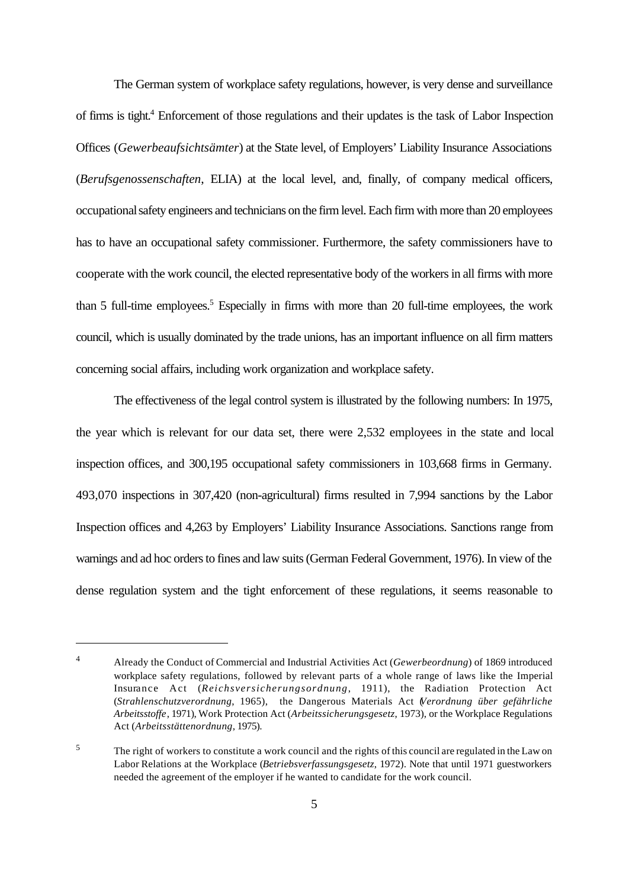The German system of workplace safety regulations, however, is very dense and surveillance of firms is tight.<sup>4</sup> Enforcement of those regulations and their updates is the task of Labor Inspection Offices (*Gewerbeaufsichtsämter*) at the State level, of Employers' Liability Insurance Associations (*Berufsgenossenschaften*, ELIA) at the local level, and, finally, of company medical officers, occupational safety engineers and technicians on the firm level. Each firm with more than 20 employees has to have an occupational safety commissioner. Furthermore, the safety commissioners have to cooperate with the work council, the elected representative body of the workers in all firms with more than 5 full-time employees.<sup>5</sup> Especially in firms with more than 20 full-time employees, the work council, which is usually dominated by the trade unions, has an important influence on all firm matters concerning social affairs, including work organization and workplace safety.

The effectiveness of the legal control system is illustrated by the following numbers: In 1975, the year which is relevant for our data set, there were 2,532 employees in the state and local inspection offices, and 300,195 occupational safety commissioners in 103,668 firms in Germany. 493,070 inspections in 307,420 (non-agricultural) firms resulted in 7,994 sanctions by the Labor Inspection offices and 4,263 by Employers' Liability Insurance Associations. Sanctions range from warnings and ad hoc orders to fines and law suits (German Federal Government, 1976). In view of the dense regulation system and the tight enforcement of these regulations, it seems reasonable to

<sup>4</sup> Already the Conduct of Commercial and Industrial Activities Act (*Gewerbeordnung*) of 1869 introduced workplace safety regulations, followed by relevant parts of a whole range of laws like the Imperial Insurance Act (*Reichsversicherungsordnung*, 1911), the Radiation Protection Act (*Strahlenschutzverordnung*, 1965), the Dangerous Materials Act (*Verordnung über gefährliche Arbeitsstoffe*, 1971), Work Protection Act (*Arbeitssicherungsgesetz*, 1973), or the Workplace Regulations Act (*Arbeitsstättenordnung*, 1975).

<sup>&</sup>lt;sup>5</sup> The right of workers to constitute a work council and the rights of this council are regulated in the Law on Labor Relations at the Workplace (*Betriebsverfassungsgesetz*, 1972). Note that until 1971 guestworkers needed the agreement of the employer if he wanted to candidate for the work council.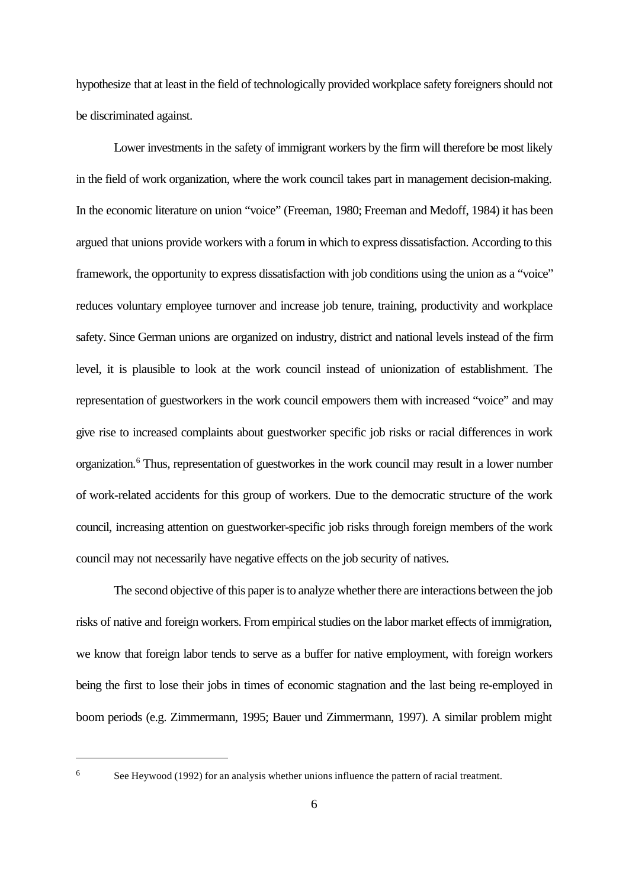hypothesize that at least in the field of technologically provided workplace safety foreigners should not be discriminated against.

Lower investments in the safety of immigrant workers by the firm will therefore be most likely in the field of work organization, where the work council takes part in management decision-making. In the economic literature on union "voice" (Freeman, 1980; Freeman and Medoff, 1984) it has been argued that unions provide workers with a forum in which to express dissatisfaction. According to this framework, the opportunity to express dissatisfaction with job conditions using the union as a "voice" reduces voluntary employee turnover and increase job tenure, training, productivity and workplace safety. Since German unions are organized on industry, district and national levels instead of the firm level, it is plausible to look at the work council instead of unionization of establishment. The representation of guestworkers in the work council empowers them with increased "voice" and may give rise to increased complaints about guestworker specific job risks or racial differences in work organization.<sup>6</sup> Thus, representation of guestworkes in the work council may result in a lower number of work-related accidents for this group of workers. Due to the democratic structure of the work council, increasing attention on guestworker-specific job risks through foreign members of the work council may not necessarily have negative effects on the job security of natives.

The second objective of this paper is to analyze whether there are interactions between the job risks of native and foreign workers. From empirical studies on the labor market effects of immigration, we know that foreign labor tends to serve as a buffer for native employment, with foreign workers being the first to lose their jobs in times of economic stagnation and the last being re-employed in boom periods (e.g. Zimmermann, 1995; Bauer und Zimmermann, 1997). A similar problem might

<sup>&</sup>lt;sup>6</sup> See Heywood (1992) for an analysis whether unions influence the pattern of racial treatment.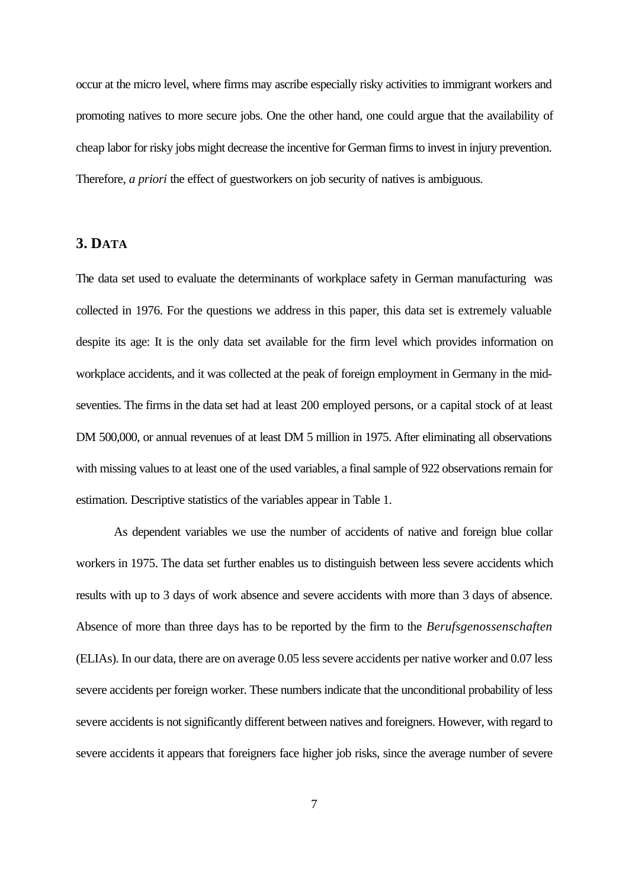occur at the micro level, where firms may ascribe especially risky activities to immigrant workers and promoting natives to more secure jobs. One the other hand, one could argue that the availability of cheap labor for risky jobs might decrease the incentive for German firms to invest in injury prevention. Therefore, *a priori* the effect of guestworkers on job security of natives is ambiguous.

### **3. DATA**

The data set used to evaluate the determinants of workplace safety in German manufacturing was collected in 1976. For the questions we address in this paper, this data set is extremely valuable despite its age: It is the only data set available for the firm level which provides information on workplace accidents, and it was collected at the peak of foreign employment in Germany in the midseventies. The firms in the data set had at least 200 employed persons, or a capital stock of at least DM 500,000, or annual revenues of at least DM 5 million in 1975. After eliminating all observations with missing values to at least one of the used variables, a final sample of 922 observations remain for estimation. Descriptive statistics of the variables appear in Table 1.

As dependent variables we use the number of accidents of native and foreign blue collar workers in 1975. The data set further enables us to distinguish between less severe accidents which results with up to 3 days of work absence and severe accidents with more than 3 days of absence. Absence of more than three days has to be reported by the firm to the *Berufsgenossenschaften* (ELIAs). In our data, there are on average 0.05 less severe accidents per native worker and 0.07 less severe accidents per foreign worker. These numbers indicate that the unconditional probability of less severe accidents is not significantly different between natives and foreigners. However, with regard to severe accidents it appears that foreigners face higher job risks, since the average number of severe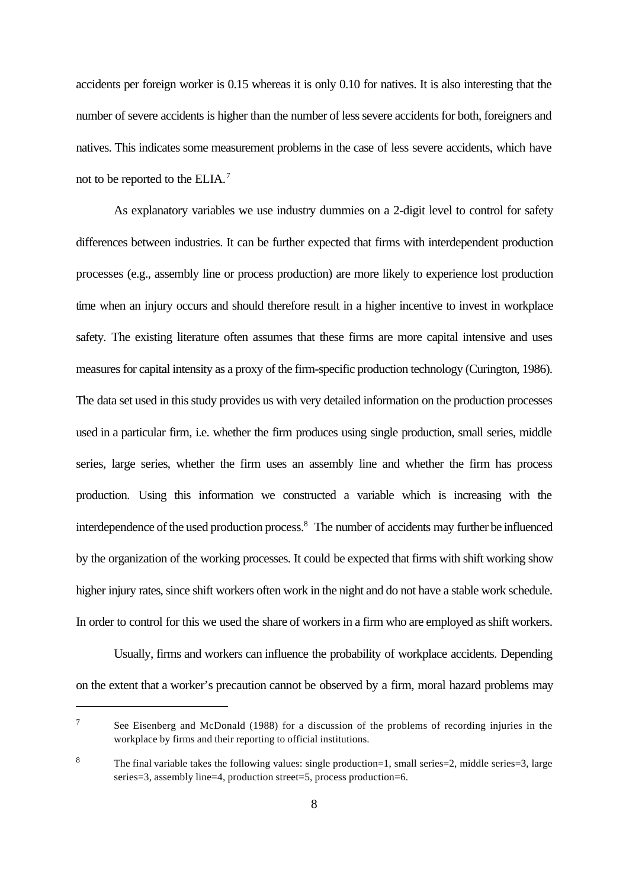accidents per foreign worker is 0.15 whereas it is only 0.10 for natives. It is also interesting that the number of severe accidents is higher than the number of less severe accidents for both, foreigners and natives. This indicates some measurement problems in the case of less severe accidents, which have not to be reported to the ELIA.<sup>7</sup>

As explanatory variables we use industry dummies on a 2-digit level to control for safety differences between industries. It can be further expected that firms with interdependent production processes (e.g., assembly line or process production) are more likely to experience lost production time when an injury occurs and should therefore result in a higher incentive to invest in workplace safety. The existing literature often assumes that these firms are more capital intensive and uses measures for capital intensity as a proxy of the firm-specific production technology (Curington, 1986). The data set used in this study provides us with very detailed information on the production processes used in a particular firm, i.e. whether the firm produces using single production, small series, middle series, large series, whether the firm uses an assembly line and whether the firm has process production. Using this information we constructed a variable which is increasing with the interdependence of the used production process.<sup>8</sup> The number of accidents may further be influenced by the organization of the working processes. It could be expected that firms with shift working show higher injury rates, since shift workers often work in the night and do not have a stable work schedule. In order to control for this we used the share of workers in a firm who are employed as shift workers.

Usually, firms and workers can influence the probability of workplace accidents. Depending on the extent that a worker's precaution cannot be observed by a firm, moral hazard problems may

<sup>7</sup> See Eisenberg and McDonald (1988) for a discussion of the problems of recording injuries in the workplace by firms and their reporting to official institutions.

<sup>8</sup> The final variable takes the following values: single production=1, small series=2, middle series=3, large series=3, assembly line=4, production street=5, process production=6.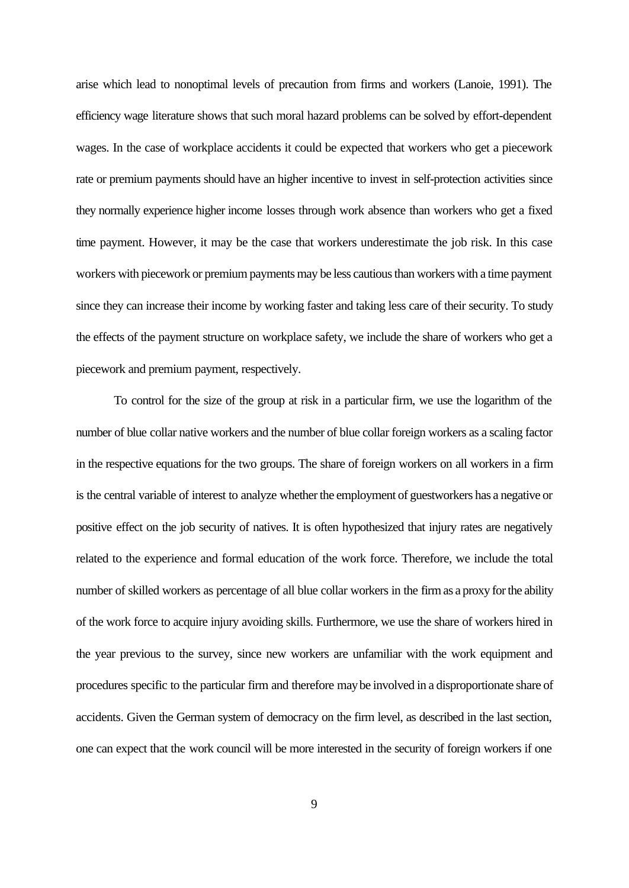arise which lead to nonoptimal levels of precaution from firms and workers (Lanoie, 1991). The efficiency wage literature shows that such moral hazard problems can be solved by effort-dependent wages. In the case of workplace accidents it could be expected that workers who get a piecework rate or premium payments should have an higher incentive to invest in self-protection activities since they normally experience higher income losses through work absence than workers who get a fixed time payment. However, it may be the case that workers underestimate the job risk. In this case workers with piecework or premium payments may be less cautious than workers with a time payment since they can increase their income by working faster and taking less care of their security. To study the effects of the payment structure on workplace safety, we include the share of workers who get a piecework and premium payment, respectively.

To control for the size of the group at risk in a particular firm, we use the logarithm of the number of blue collar native workers and the number of blue collar foreign workers as a scaling factor in the respective equations for the two groups. The share of foreign workers on all workers in a firm is the central variable of interest to analyze whether the employment of guestworkers has a negative or positive effect on the job security of natives. It is often hypothesized that injury rates are negatively related to the experience and formal education of the work force. Therefore, we include the total number of skilled workers as percentage of all blue collar workers in the firm as a proxy for the ability of the work force to acquire injury avoiding skills. Furthermore, we use the share of workers hired in the year previous to the survey, since new workers are unfamiliar with the work equipment and procedures specific to the particular firm and therefore may be involved in a disproportionate share of accidents. Given the German system of democracy on the firm level, as described in the last section, one can expect that the work council will be more interested in the security of foreign workers if one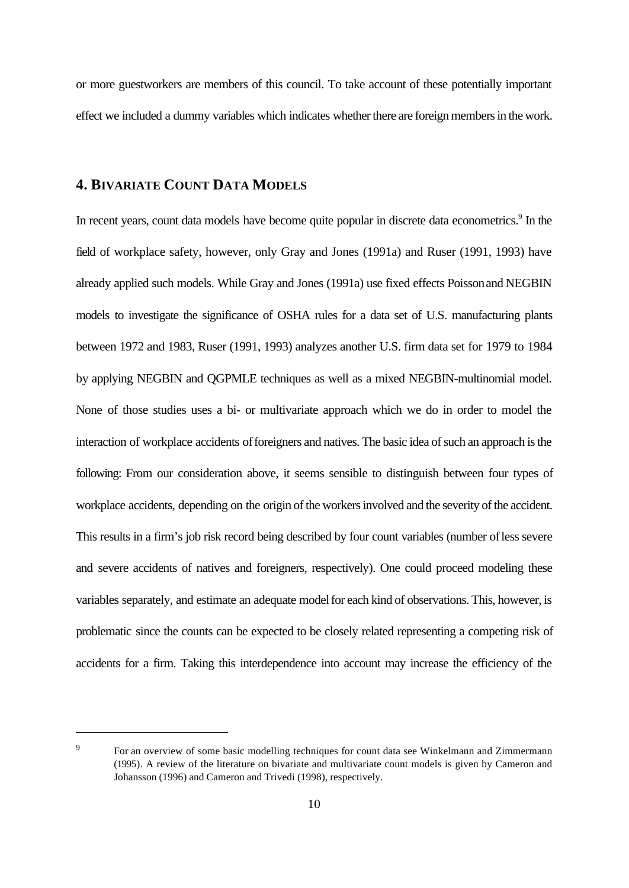or more guestworkers are members of this council. To take account of these potentially important effect we included a dummy variables which indicates whether there are foreign members in the work.

### **4. BIVARIATE COUNT DATA MODELS**

In recent years, count data models have become quite popular in discrete data econometrics.<sup>9</sup> In the field of workplace safety, however, only Gray and Jones (1991a) and Ruser (1991, 1993) have already applied such models. While Gray and Jones (1991a) use fixed effects Poisson and NEGBIN models to investigate the significance of OSHA rules for a data set of U.S. manufacturing plants between 1972 and 1983, Ruser (1991, 1993) analyzes another U.S. firm data set for 1979 to 1984 by applying NEGBIN and QGPMLE techniques as well as a mixed NEGBIN-multinomial model. None of those studies uses a bi- or multivariate approach which we do in order to model the interaction of workplace accidents of foreigners and natives. The basic idea of such an approach is the following: From our consideration above, it seems sensible to distinguish between four types of workplace accidents, depending on the origin of the workers involved and the severity of the accident. This results in a firm's job risk record being described by four count variables (number of less severe and severe accidents of natives and foreigners, respectively). One could proceed modeling these variables separately, and estimate an adequate model for each kind of observations. This, however, is problematic since the counts can be expected to be closely related representing a competing risk of accidents for a firm. Taking this interdependence into account may increase the efficiency of the

<sup>&</sup>lt;sup>9</sup> For an overview of some basic modelling techniques for count data see Winkelmann and Zimmermann (1995). A review of the literature on bivariate and multivariate count models is given by Cameron and Johansson (1996) and Cameron and Trivedi (1998), respectively.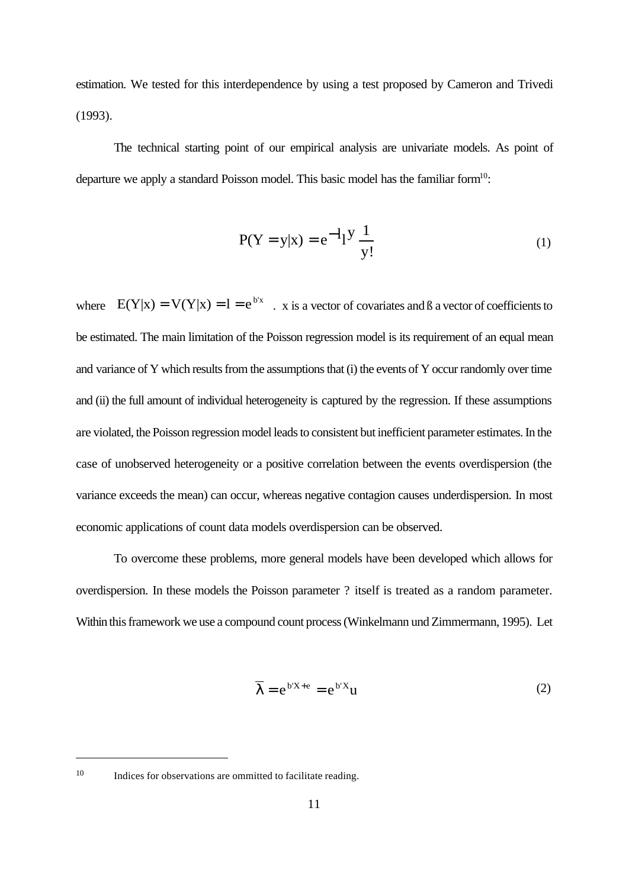estimation. We tested for this interdependence by using a test proposed by Cameron and Trivedi (1993).

The technical starting point of our empirical analysis are univariate models. As point of departure we apply a standard Poisson model. This basic model has the familiar form<sup>10</sup>:

$$
P(Y = y|x) = e^{-1} \left[ \frac{y}{y} \right] \tag{1}
$$

where  $E(Y|x) = V(Y|x) = 1 = e^{b'x}$ . x is a vector of covariates and B a vector of coefficients to be estimated. The main limitation of the Poisson regression model is its requirement of an equal mean and variance of Y which results from the assumptions that (i) the events of Y occur randomly over time and (ii) the full amount of individual heterogeneity is captured by the regression. If these assumptions are violated, the Poisson regression model leads to consistent but inefficient parameter estimates. In the case of unobserved heterogeneity or a positive correlation between the events overdispersion (the variance exceeds the mean) can occur, whereas negative contagion causes underdispersion. In most economic applications of count data models overdispersion can be observed.

To overcome these problems, more general models have been developed which allows for overdispersion. In these models the Poisson parameter ? itself is treated as a random parameter. Within this framework we use a compound count process (Winkelmann und Zimmermann, 1995). Let

$$
\overline{\lambda} = e^{b'X + e} = e^{b'X}u
$$
 (2)

<sup>10</sup> Indices for observations are ommitted to facilitate reading.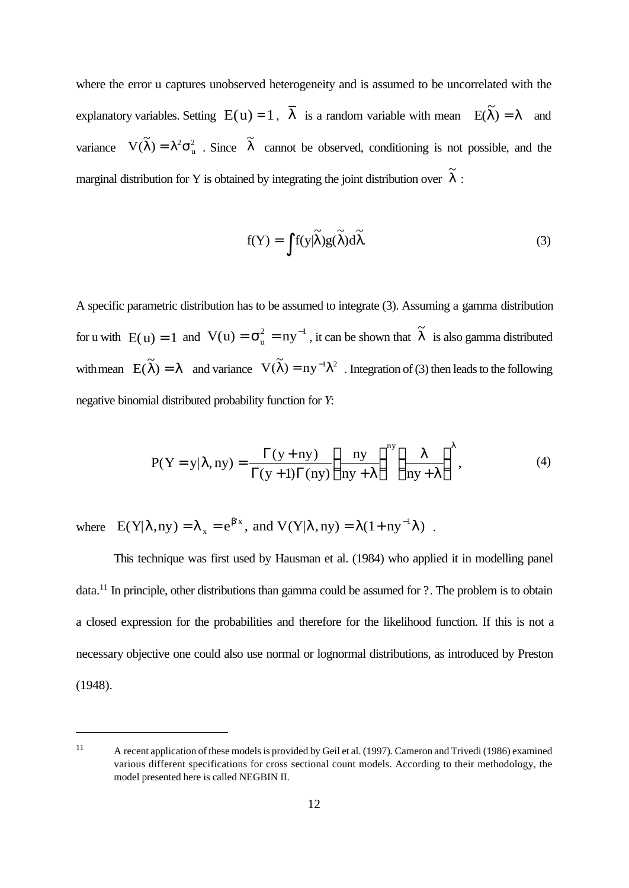where the error u captures unobserved heterogeneity and is assumed to be uncorrelated with the explanatory variables. Setting  $E(u) = 1$ ,  $\overline{\lambda}$  is a random variable with mean  $E(\tilde{\lambda}) = \lambda$  and  $\lambda$ ) =  $\lambda$ variance  $V(\lambda) = \lambda^2 \sigma_u^2$ . Since  $\lambda$  cannot be observed, conditioning is not possible, and the  $\tilde{\gamma}$  $\widetilde{\lambda}$ ) =  $\lambda^2 \sigma_u^2$ . Since  $\widetilde{\lambda}$ marginal distribution for Y is obtained by integrating the joint distribution over  $\lambda$ :  $\tilde{\gamma}$ λ

$$
f(Y) = \int f(y|\tilde{\lambda})g(\tilde{\lambda})d\tilde{\lambda}.
$$
 (3)

A specific parametric distribution has to be assumed to integrate (3). Assuming a gamma distribution for u with  $E(u) = 1$  and  $V(u) = \sigma_u^2 = ny^{-1}$ , it can be shown that  $\tilde{\lambda}$  is also gamma distributed with mean  $E(\lambda) = \lambda$  and variance  $V(\lambda) = ny^{-1}\lambda^2$ . Integration of (3) then leads to the following  $\tilde{\gamma}$  $\lambda$  =  $\lambda$  and variance  $V(\lambda) = ny$  $\tilde{\mathbf{r}}$  $\widetilde{\lambda}$ ) =  $ny^{-1}\lambda^2$ negative binomial distributed probability function for *Y*:

$$
P(Y = y | \lambda, ny) = \frac{\Gamma(y + ny)}{\Gamma(y + 1)\Gamma(ny)} \left(\frac{ny}{ny + \lambda}\right)^{ny} \left(\frac{\lambda}{ny + \lambda}\right)^{\lambda},
$$
(4)

where  $E(Y|\lambda, ny) = \lambda_x = e^{\beta' x}$ , and  $V(Y|\lambda, ny) = \lambda(1 + ny^{-1}\lambda)$ .  $(Y|\lambda, ny) = \lambda_x = e^{\beta' x}$ , and  $V(Y|\lambda, ny) = \lambda(1 + ny^{-1}\lambda)$ 

This technique was first used by Hausman et al. (1984) who applied it in modelling panel data.<sup>11</sup> In principle, other distributions than gamma could be assumed for ?. The problem is to obtain a closed expression for the probabilities and therefore for the likelihood function. If this is not a necessary objective one could also use normal or lognormal distributions, as introduced by Preston (1948).

<sup>11</sup> A recent application of these models is provided by Geil et al. (1997). Cameron and Trivedi (1986) examined various different specifications for cross sectional count models. According to their methodology, the model presented here is called NEGBIN II.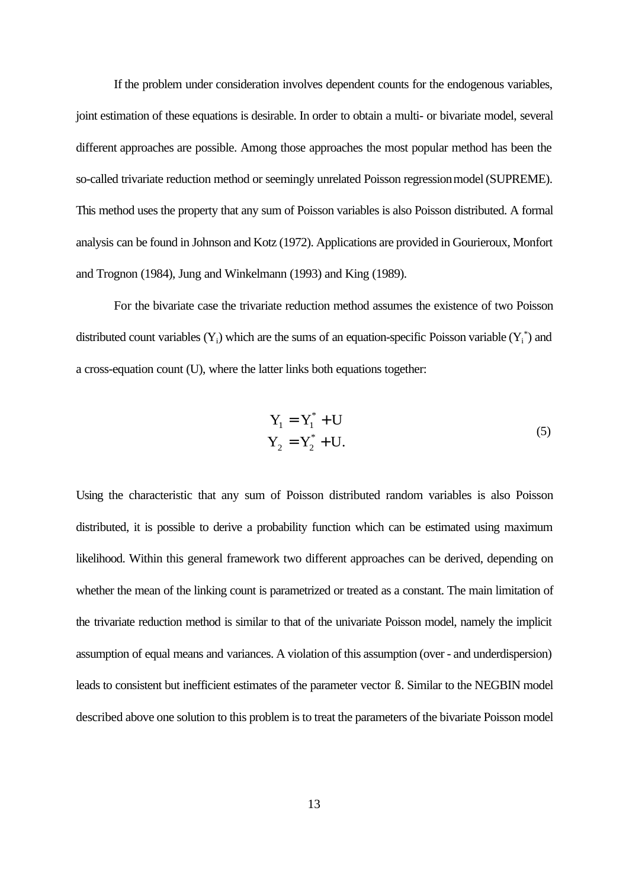If the problem under consideration involves dependent counts for the endogenous variables, joint estimation of these equations is desirable. In order to obtain a multi- or bivariate model, several different approaches are possible. Among those approaches the most popular method has been the so-called trivariate reduction method or seemingly unrelated Poisson regression model (SUPREME). This method uses the property that any sum of Poisson variables is also Poisson distributed. A formal analysis can be found in Johnson and Kotz (1972). Applications are provided in Gourieroux, Monfort and Trognon (1984), Jung and Winkelmann (1993) and King (1989).

For the bivariate case the trivariate reduction method assumes the existence of two Poisson distributed count variables  $(Y_i)$  which are the sums of an equation-specific Poisson variable  $(Y_i^*)$  and a cross-equation count (U), where the latter links both equations together:

$$
Y_1 = Y_1^* + U
$$
  
\n
$$
Y_2 = Y_2^* + U.
$$
\n(5)

Using the characteristic that any sum of Poisson distributed random variables is also Poisson distributed, it is possible to derive a probability function which can be estimated using maximum likelihood. Within this general framework two different approaches can be derived, depending on whether the mean of the linking count is parametrized or treated as a constant. The main limitation of the trivariate reduction method is similar to that of the univariate Poisson model, namely the implicit assumption of equal means and variances. A violation of this assumption (over - and underdispersion) leads to consistent but inefficient estimates of the parameter vector ß. Similar to the NEGBIN model described above one solution to this problem is to treat the parameters of the bivariate Poisson model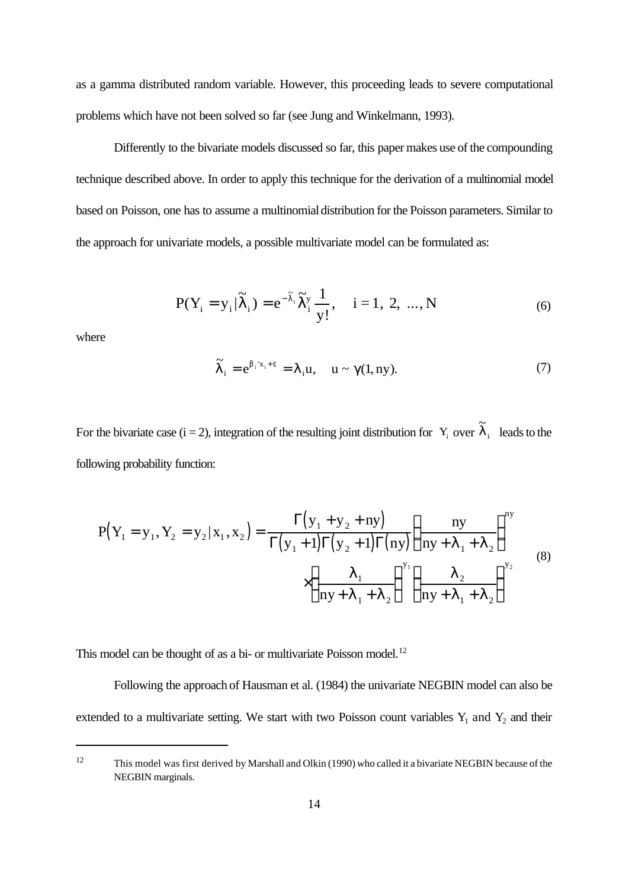as a gamma distributed random variable. However, this proceeding leads to severe computational problems which have not been solved so far (see Jung and Winkelmann, 1993).

Differently to the bivariate models discussed so far, this paper makes use of the compounding technique described above. In order to apply this technique for the derivation of a multinomial model based on Poisson, one has to assume a multinomial distribution for the Poisson parameters. Similar to the approach for univariate models, a possible multivariate model can be formulated as:

$$
P(Y_i = y_i | \tilde{\lambda}_i) = e^{-\tilde{\lambda}_i} \tilde{\lambda}_i^y \frac{1}{y!}, \quad i = 1, 2, ..., N
$$
 (6)

where

$$
\widetilde{\lambda}_i = e^{\beta_i x_i + \epsilon} = \lambda_i u, \quad u \sim \gamma(1, ny). \tag{7}
$$

For the bivariate case (i = 2), integration of the resulting joint distribution for  $Y_i$  over  $\lambda_i$  leads to the  $\tilde{\gamma}$  $\lambda_{\rm i}$ following probability function:

$$
P(Y_1 = y_1, Y_2 = y_2 | x_1, x_2) = \frac{\Gamma(y_1 + y_2 + ny)}{\Gamma(y_1 + 1)\Gamma(y_2 + 1)\Gamma(ny)} \left(\frac{ny}{ny + \lambda_1 + \lambda_2}\right)^{y_1}
$$
  
 
$$
\times \left(\frac{\lambda_1}{ny + \lambda_1 + \lambda_2}\right)^{y_1} \left(\frac{\lambda_2}{ny + \lambda_1 + \lambda_2}\right)^{y_2}
$$
 (8)

This model can be thought of as a bi- or multivariate Poisson model.<sup>12</sup>

Following the approach of Hausman et al. (1984) the univariate NEGBIN model can also be extended to a multivariate setting. We start with two Poisson count variables  $Y_1$  and  $Y_2$  and their

<sup>12</sup> This model was first derived by Marshall and Olkin (1990) who called it a bivariate NEGBIN because of the NEGBIN marginals.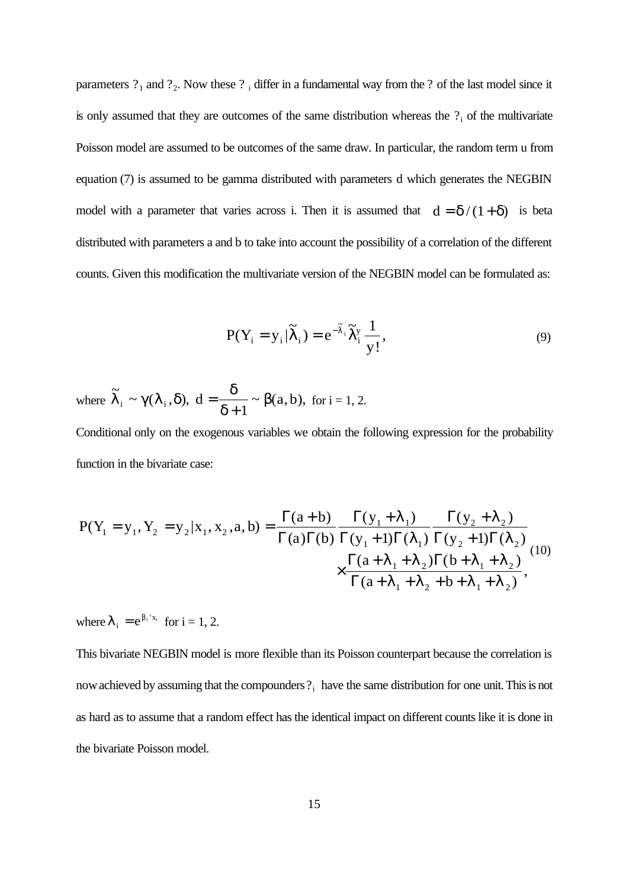parameters  $?_1$  and  $?_2$ . Now these  $?_1$  differ in a fundamental way from the  $?$  of the last model since it is only assumed that they are outcomes of the same distribution whereas the  $?$ <sub>i</sub> of the multivariate Poisson model are assumed to be outcomes of the same draw. In particular, the random term u from equation (7) is assumed to be gamma distributed with parameters d which generates the NEGBIN model with a parameter that varies across i. Then it is assumed that  $d = \delta/(1+\delta)$  is beta distributed with parameters a and b to take into account the possibility of a correlation of the different counts. Given this modification the multivariate version of the NEGBIN model can be formulated as:

$$
P(Y_i = y_i | \widetilde{\lambda}_i) = e^{-\widetilde{\lambda}_i} \widetilde{\lambda}_i^y \frac{1}{y!},
$$
\n(9)

where  $\lambda_i \sim \gamma(\lambda_i, \delta)$ ,  $d = \frac{\gamma}{\gamma_i} \sim \beta(a, b)$ , for  $i = 1, 2$ .  $\tilde{\gamma}$  $\lambda_i \sim \gamma(\lambda_i, \delta)$ ,  $d = \frac{6}{3} \sim \beta(a, b)$ δ  $d_i \sim \gamma(\lambda_i, \delta), \ d = \frac{\delta}{\delta + 1} \sim \beta(a, b),$  $+1$ 

Conditional only on the exogenous variables we obtain the following expression for the probability function in the bivariate case:

$$
P(Y_1 = y_1, Y_2 = y_2 | x_1, x_2, a, b) = \frac{\Gamma(a+b)}{\Gamma(a)\Gamma(b)} \frac{\Gamma(y_1 + \lambda_1)}{\Gamma(y_1 + 1)\Gamma(\lambda_1)} \frac{\Gamma(y_2 + \lambda_2)}{\Gamma(y_2 + 1)\Gamma(\lambda_2)} \times \frac{\Gamma(a + \lambda_1 + \lambda_2)\Gamma(b + \lambda_1 + \lambda_2)}{\Gamma(a + \lambda_1 + \lambda_2 + b + \lambda_1 + \lambda_2)},
$$
(10)

where  $\lambda_i = e^{\beta_i x_i}$  for  $i = 1, 2$ .  $= e^{\beta_i x_i}$ 

This bivariate NEGBIN model is more flexible than its Poisson counterpart because the correlation is now achieved by assuming that the compounders  $?_i$  have the same distribution for one unit. This is not as hard as to assume that a random effect has the identical impact on different counts like it is done in the bivariate Poisson model.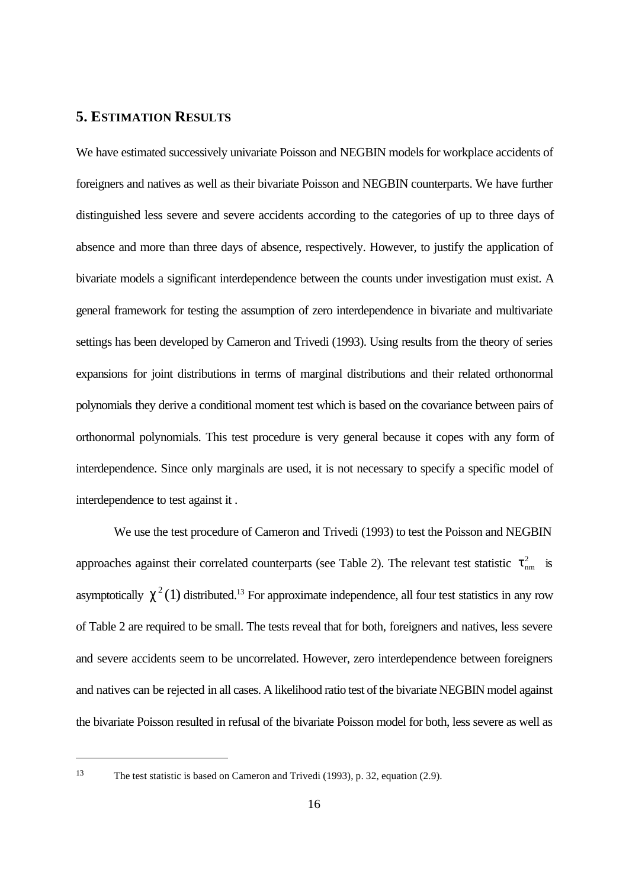### **5. ESTIMATION RESULTS**

We have estimated successively univariate Poisson and NEGBIN models for workplace accidents of foreigners and natives as well as their bivariate Poisson and NEGBIN counterparts. We have further distinguished less severe and severe accidents according to the categories of up to three days of absence and more than three days of absence, respectively. However, to justify the application of bivariate models a significant interdependence between the counts under investigation must exist. A general framework for testing the assumption of zero interdependence in bivariate and multivariate settings has been developed by Cameron and Trivedi (1993). Using results from the theory of series expansions for joint distributions in terms of marginal distributions and their related orthonormal polynomials they derive a conditional moment test which is based on the covariance between pairs of orthonormal polynomials. This test procedure is very general because it copes with any form of interdependence. Since only marginals are used, it is not necessary to specify a specific model of interdependence to test against it .

We use the test procedure of Cameron and Trivedi (1993) to test the Poisson and NEGBIN approaches against their correlated counterparts (see Table 2). The relevant test statistic  $\tau_{nm}^2$  is asymptotically  $\chi^2(1)$  distributed.<sup>13</sup> For approximate independence, all four test statistics in any row of Table 2 are required to be small. The tests reveal that for both, foreigners and natives, less severe and severe accidents seem to be uncorrelated. However, zero interdependence between foreigners and natives can be rejected in all cases. A likelihood ratio test of the bivariate NEGBIN model against the bivariate Poisson resulted in refusal of the bivariate Poisson model for both, less severe as well as

<sup>13</sup> The test statistic is based on Cameron and Trivedi (1993), p. 32, equation (2.9).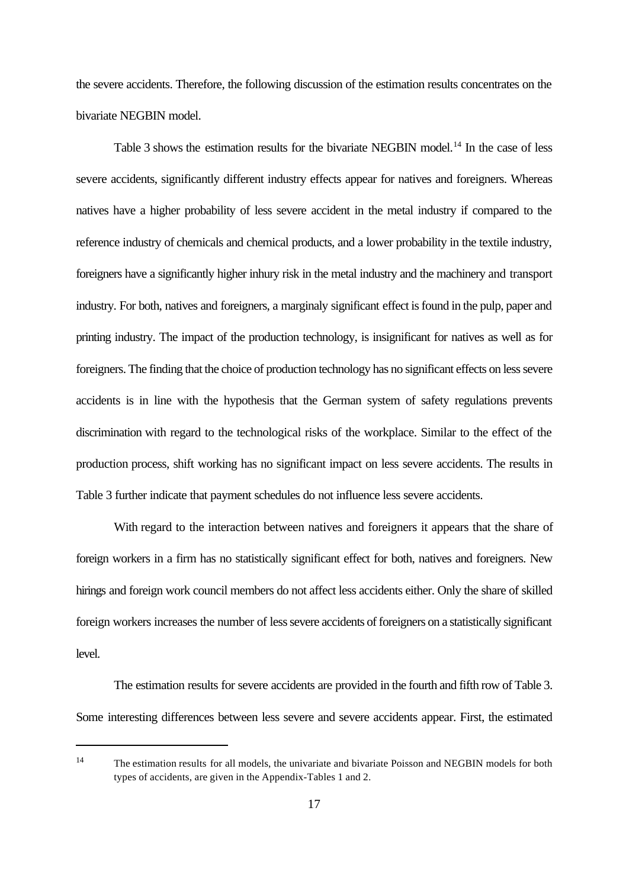the severe accidents. Therefore, the following discussion of the estimation results concentrates on the bivariate NEGBIN model.

Table 3 shows the estimation results for the bivariate NEGBIN model.<sup>14</sup> In the case of less severe accidents, significantly different industry effects appear for natives and foreigners. Whereas natives have a higher probability of less severe accident in the metal industry if compared to the reference industry of chemicals and chemical products, and a lower probability in the textile industry, foreigners have a significantly higher inhury risk in the metal industry and the machinery and transport industry. For both, natives and foreigners, a marginaly significant effect is found in the pulp, paper and printing industry. The impact of the production technology, is insignificant for natives as well as for foreigners. The finding that the choice of production technology has no significant effects on less severe accidents is in line with the hypothesis that the German system of safety regulations prevents discrimination with regard to the technological risks of the workplace. Similar to the effect of the production process, shift working has no significant impact on less severe accidents. The results in Table 3 further indicate that payment schedules do not influence less severe accidents.

With regard to the interaction between natives and foreigners it appears that the share of foreign workers in a firm has no statistically significant effect for both, natives and foreigners. New hirings and foreign work council members do not affect less accidents either. Only the share of skilled foreign workers increases the number of less severe accidents of foreigners on a statistically significant level.

The estimation results for severe accidents are provided in the fourth and fifth row of Table 3. Some interesting differences between less severe and severe accidents appear. First, the estimated

<sup>&</sup>lt;sup>14</sup> The estimation results for all models, the univariate and bivariate Poisson and NEGBIN models for both types of accidents, are given in the Appendix-Tables 1 and 2.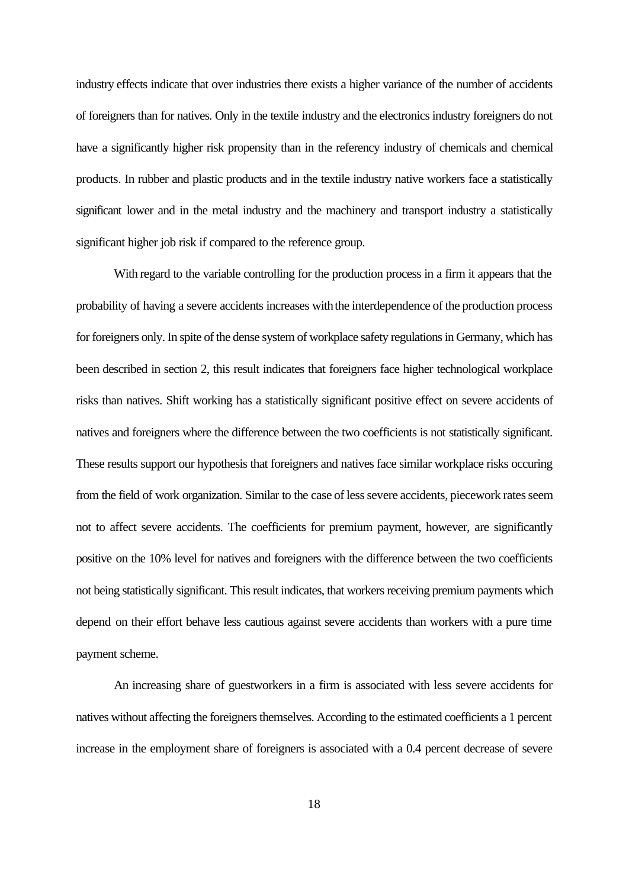industry effects indicate that over industries there exists a higher variance of the number of accidents of foreigners than for natives. Only in the textile industry and the electronics industry foreigners do not have a significantly higher risk propensity than in the referency industry of chemicals and chemical products. In rubber and plastic products and in the textile industry native workers face a statistically significant lower and in the metal industry and the machinery and transport industry a statistically significant higher job risk if compared to the reference group.

With regard to the variable controlling for the production process in a firm it appears that the probability of having a severe accidents increases with the interdependence of the production process for foreigners only. In spite of the dense system of workplace safety regulations in Germany, which has been described in section 2, this result indicates that foreigners face higher technological workplace risks than natives. Shift working has a statistically significant positive effect on severe accidents of natives and foreigners where the difference between the two coefficients is not statistically significant. These results support our hypothesis that foreigners and natives face similar workplace risks occuring from the field of work organization. Similar to the case of less severe accidents, piecework rates seem not to affect severe accidents. The coefficients for premium payment, however, are significantly positive on the 10% level for natives and foreigners with the difference between the two coefficients not being statistically significant. This result indicates, that workers receiving premium payments which depend on their effort behave less cautious against severe accidents than workers with a pure time payment scheme.

An increasing share of guestworkers in a firm is associated with less severe accidents for natives without affecting the foreigners themselves. According to the estimated coefficients a 1 percent increase in the employment share of foreigners is associated with a 0.4 percent decrease of severe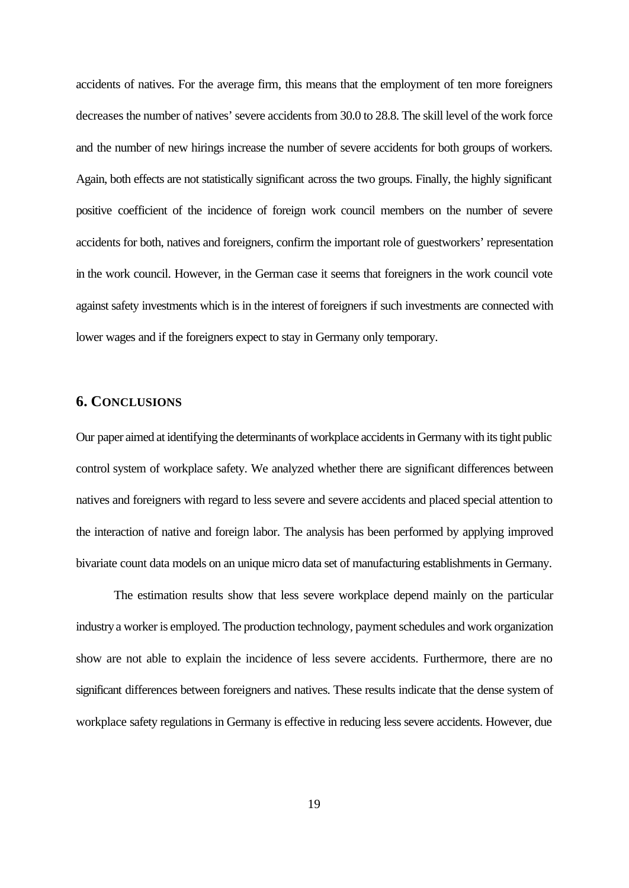accidents of natives. For the average firm, this means that the employment of ten more foreigners decreases the number of natives' severe accidents from 30.0 to 28.8. The skill level of the work force and the number of new hirings increase the number of severe accidents for both groups of workers. Again, both effects are not statistically significant across the two groups. Finally, the highly significant positive coefficient of the incidence of foreign work council members on the number of severe accidents for both, natives and foreigners, confirm the important role of guestworkers' representation in the work council. However, in the German case it seems that foreigners in the work council vote against safety investments which is in the interest of foreigners if such investments are connected with lower wages and if the foreigners expect to stay in Germany only temporary.

### **6. CONCLUSIONS**

Our paper aimed at identifying the determinants of workplace accidents in Germany with its tight public control system of workplace safety. We analyzed whether there are significant differences between natives and foreigners with regard to less severe and severe accidents and placed special attention to the interaction of native and foreign labor. The analysis has been performed by applying improved bivariate count data models on an unique micro data set of manufacturing establishments in Germany.

The estimation results show that less severe workplace depend mainly on the particular industry a worker is employed. The production technology, payment schedules and work organization show are not able to explain the incidence of less severe accidents. Furthermore, there are no significant differences between foreigners and natives. These results indicate that the dense system of workplace safety regulations in Germany is effective in reducing less severe accidents. However, due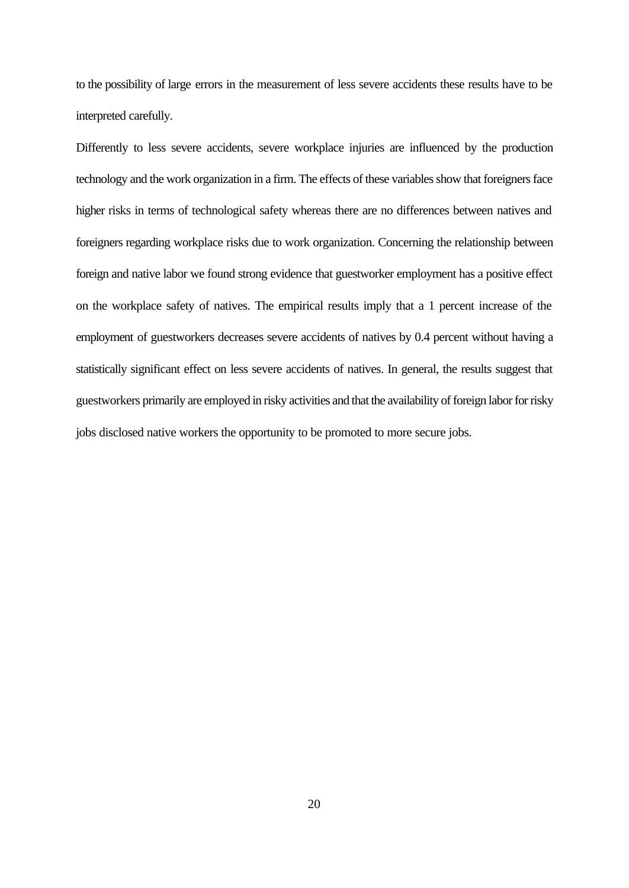to the possibility of large errors in the measurement of less severe accidents these results have to be interpreted carefully.

Differently to less severe accidents, severe workplace injuries are influenced by the production technology and the work organization in a firm. The effects of these variables show that foreigners face higher risks in terms of technological safety whereas there are no differences between natives and foreigners regarding workplace risks due to work organization. Concerning the relationship between foreign and native labor we found strong evidence that guestworker employment has a positive effect on the workplace safety of natives. The empirical results imply that a 1 percent increase of the employment of guestworkers decreases severe accidents of natives by 0.4 percent without having a statistically significant effect on less severe accidents of natives. In general, the results suggest that guestworkers primarily are employed in risky activities and that the availability of foreign labor for risky jobs disclosed native workers the opportunity to be promoted to more secure jobs.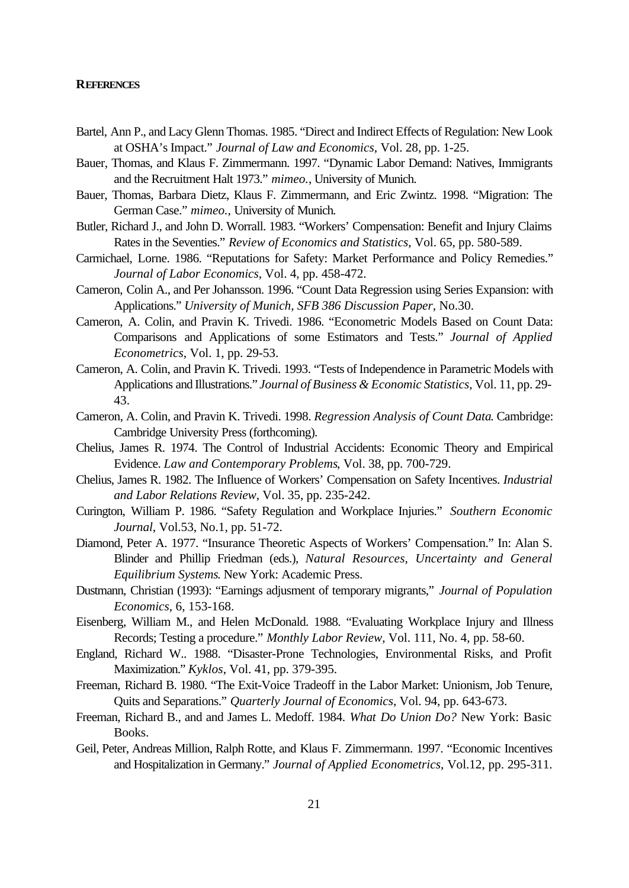### **REFERENCES**

- Bartel, Ann P., and Lacy Glenn Thomas. 1985. "Direct and Indirect Effects of Regulation: New Look at OSHA's Impact." *Journal of Law and Economics*, Vol. 28, pp. 1-25.
- Bauer, Thomas, and Klaus F. Zimmermann. 1997. "Dynamic Labor Demand: Natives, Immigrants and the Recruitment Halt 1973." *mimeo.*, University of Munich.
- Bauer, Thomas, Barbara Dietz, Klaus F. Zimmermann, and Eric Zwintz. 1998. "Migration: The German Case." *mimeo.,* University of Munich.
- Butler, Richard J., and John D. Worrall. 1983. "Workers' Compensation: Benefit and Injury Claims Rates in the Seventies." *Review of Economics and Statistics*, Vol. 65, pp. 580-589.
- Carmichael, Lorne. 1986. "Reputations for Safety: Market Performance and Policy Remedies." *Journal of Labor Economics*, Vol. 4, pp. 458-472.
- Cameron, Colin A., and Per Johansson. 1996. "Count Data Regression using Series Expansion: with Applications." *University of Munich, SFB 386 Discussion Paper*, No.30.
- Cameron, A. Colin, and Pravin K. Trivedi. 1986. "Econometric Models Based on Count Data: Comparisons and Applications of some Estimators and Tests." *Journal of Applied Econometrics*, Vol. 1, pp. 29-53.
- Cameron, A. Colin, and Pravin K. Trivedi. 1993. "Tests of Independence in Parametric Models with Applications and Illustrations." *Journal of Business & Economic Statistics*, Vol. 11, pp. 29- 43.
- Cameron, A. Colin, and Pravin K. Trivedi. 1998. *Regression Analysis of Count Data*. Cambridge: Cambridge University Press (forthcoming).
- Chelius, James R. 1974. The Control of Industrial Accidents: Economic Theory and Empirical Evidence. *Law and Contemporary Problems*, Vol. 38, pp. 700-729.
- Chelius, James R. 1982. The Influence of Workers' Compensation on Safety Incentives. *Industrial and Labor Relations Review*, Vol. 35, pp. 235-242.
- Curington, William P. 1986. "Safety Regulation and Workplace Injuries." *Southern Economic Journal*, Vol.53, No.1, pp. 51-72.
- Diamond, Peter A. 1977. "Insurance Theoretic Aspects of Workers' Compensation." In: Alan S. Blinder and Phillip Friedman (eds.), *Natural Resources, Uncertainty and General Equilibrium Systems*. New York: Academic Press.
- Dustmann, Christian (1993): "Earnings adjusment of temporary migrants," *Journal of Population Economics*, 6, 153-168.
- Eisenberg, William M., and Helen McDonald. 1988. "Evaluating Workplace Injury and Illness Records; Testing a procedure." *Monthly Labor Review*, Vol. 111, No. 4, pp. 58-60.
- England, Richard W.. 1988. "Disaster-Prone Technologies, Environmental Risks, and Profit Maximization." *Kyklos*, Vol. 41, pp. 379-395.
- Freeman, Richard B. 1980. "The Exit-Voice Tradeoff in the Labor Market: Unionism, Job Tenure, Quits and Separations." *Quarterly Journal of Economics*, Vol. 94, pp. 643-673.
- Freeman, Richard B., and and James L. Medoff. 1984. *What Do Union Do?* New York: Basic Books.
- Geil, Peter, Andreas Million, Ralph Rotte, and Klaus F. Zimmermann. 1997. "Economic Incentives and Hospitalization in Germany." *Journal of Applied Econometrics*, Vol.12, pp. 295-311.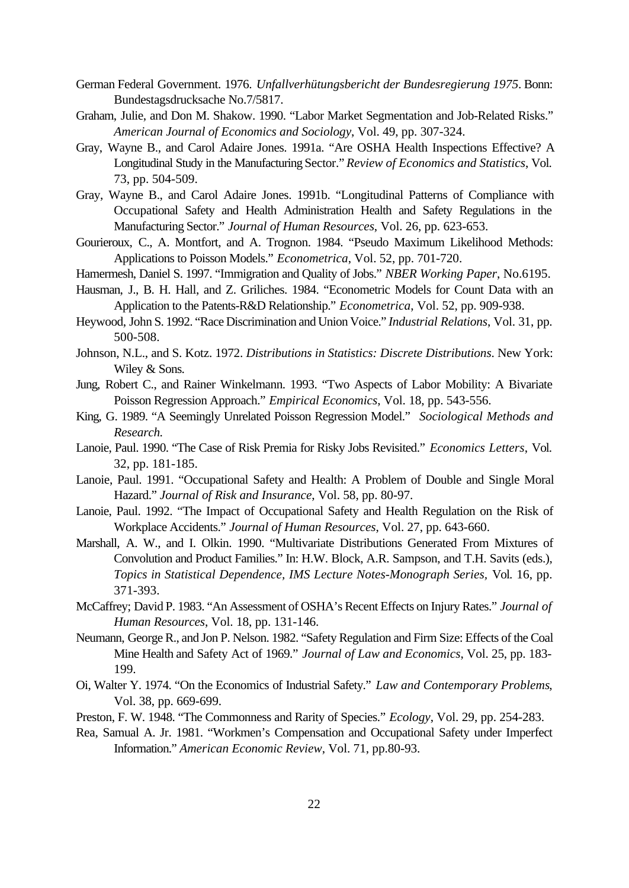- German Federal Government. 1976. *Unfallverhütungsbericht der Bundesregierung 1975*. Bonn: Bundestagsdrucksache No.7/5817.
- Graham, Julie, and Don M. Shakow. 1990. "Labor Market Segmentation and Job-Related Risks." *American Journal of Economics and Sociology*, Vol. 49, pp. 307-324.
- Gray, Wayne B., and Carol Adaire Jones. 1991a. "Are OSHA Health Inspections Effective? A Longitudinal Study in the Manufacturing Sector." *Review of Economics and Statistics*, Vol. 73, pp. 504-509.
- Gray, Wayne B., and Carol Adaire Jones. 1991b. "Longitudinal Patterns of Compliance with Occupational Safety and Health Administration Health and Safety Regulations in the Manufacturing Sector." *Journal of Human Resources*, Vol. 26, pp. 623-653.
- Gourieroux, C., A. Montfort, and A. Trognon. 1984. "Pseudo Maximum Likelihood Methods: Applications to Poisson Models." *Econometrica*, Vol. 52, pp. 701-720.
- Hamermesh, Daniel S. 1997. "Immigration and Quality of Jobs." *NBER Working Paper*, No.6195.
- Hausman, J., B. H. Hall, and Z. Griliches. 1984. "Econometric Models for Count Data with an Application to the Patents-R&D Relationship." *Econometrica*, Vol. 52, pp. 909-938.
- Heywood, John S. 1992. "Race Discrimination and Union Voice." *Industrial Relations*, Vol. 31, pp. 500-508.
- Johnson, N.L., and S. Kotz. 1972. *Distributions in Statistics: Discrete Distributions*. New York: Wiley & Sons.
- Jung, Robert C., and Rainer Winkelmann. 1993. "Two Aspects of Labor Mobility: A Bivariate Poisson Regression Approach." *Empirical Economics*, Vol. 18, pp. 543-556.
- King, G. 1989. "A Seemingly Unrelated Poisson Regression Model." *Sociological Methods and Research.*
- Lanoie, Paul. 1990. "The Case of Risk Premia for Risky Jobs Revisited." *Economics Letters*, Vol. 32, pp. 181-185.
- Lanoie, Paul. 1991. "Occupational Safety and Health: A Problem of Double and Single Moral Hazard." *Journal of Risk and Insurance*, Vol. 58, pp. 80-97.
- Lanoie, Paul. 1992. "The Impact of Occupational Safety and Health Regulation on the Risk of Workplace Accidents." *Journal of Human Resources*, Vol. 27, pp. 643-660.
- Marshall, A. W., and I. Olkin. 1990. "Multivariate Distributions Generated From Mixtures of Convolution and Product Families." In: H.W. Block, A.R. Sampson, and T.H. Savits (eds.), *Topics in Statistical Dependence, IMS Lecture Notes-Monograph Series,* Vol. 16, pp. 371-393.
- McCaffrey; David P. 1983. "An Assessment of OSHA's Recent Effects on Injury Rates." *Journal of Human Resources*, Vol. 18, pp. 131-146.
- Neumann, George R., and Jon P. Nelson. 1982. "Safety Regulation and Firm Size: Effects of the Coal Mine Health and Safety Act of 1969." *Journal of Law and Economics*, Vol. 25, pp. 183- 199.
- Oi, Walter Y. 1974. "On the Economics of Industrial Safety." *Law and Contemporary Problems*, Vol. 38, pp. 669-699.
- Preston, F. W. 1948. "The Commonness and Rarity of Species." *Ecology*, Vol. 29, pp. 254-283.
- Rea, Samual A. Jr. 1981. "Workmen's Compensation and Occupational Safety under Imperfect Information." *American Economic Review*, Vol. 71, pp.80-93.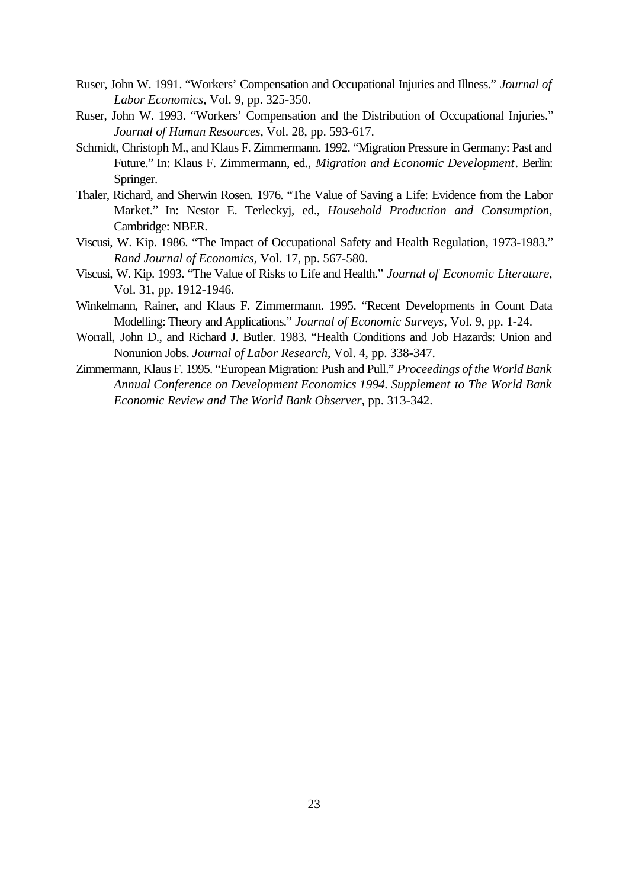- Ruser, John W. 1991. "Workers' Compensation and Occupational Injuries and Illness." *Journal of Labor Economics*, Vol. 9, pp. 325-350.
- Ruser, John W. 1993. "Workers' Compensation and the Distribution of Occupational Injuries." *Journal of Human Resources*, Vol. 28, pp. 593-617.
- Schmidt, Christoph M., and Klaus F. Zimmermann. 1992. "Migration Pressure in Germany: Past and Future." In: Klaus F. Zimmermann, ed., *Migration and Economic Development*. Berlin: Springer.
- Thaler, Richard, and Sherwin Rosen. 1976. "The Value of Saving a Life: Evidence from the Labor Market." In: Nestor E. Terleckyj, ed., *Household Production and Consumption*, Cambridge: NBER.
- Viscusi, W. Kip. 1986. "The Impact of Occupational Safety and Health Regulation, 1973-1983." *Rand Journal of Economics*, Vol. 17, pp. 567-580.
- Viscusi, W. Kip. 1993. "The Value of Risks to Life and Health." *Journal of Economic Literature*, Vol. 31, pp. 1912-1946.
- Winkelmann, Rainer, and Klaus F. Zimmermann. 1995. "Recent Developments in Count Data Modelling: Theory and Applications." *Journal of Economic Surveys*, Vol. 9, pp. 1-24.
- Worrall, John D., and Richard J. Butler. 1983. "Health Conditions and Job Hazards: Union and Nonunion Jobs. *Journal of Labor Research*, Vol. 4, pp. 338-347.
- Zimmermann, Klaus F. 1995. "European Migration: Push and Pull." *Proceedings of the World Bank Annual Conference on Development Economics 1994. Supplement to The World Bank Economic Review and The World Bank Observer*, pp. 313-342.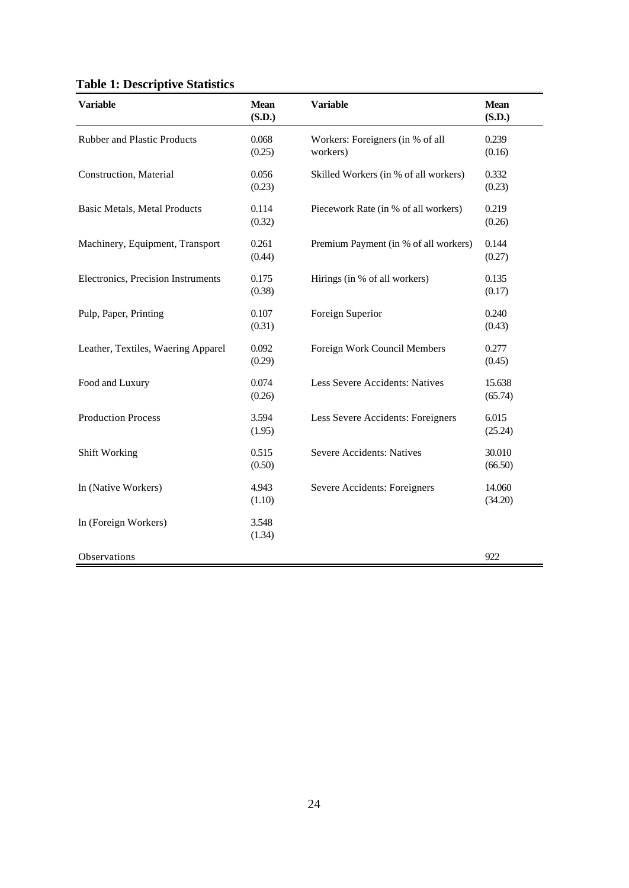|  | <b>Table 1: Descriptive Statistics</b> |  |
|--|----------------------------------------|--|
|--|----------------------------------------|--|

| <b>Variable</b>                     | <b>Mean</b><br>(S.D.) | <b>Variable</b>                              | <b>Mean</b><br>(S.D.) |
|-------------------------------------|-----------------------|----------------------------------------------|-----------------------|
| Rubber and Plastic Products         | 0.068<br>(0.25)       | Workers: Foreigners (in % of all<br>workers) | 0.239<br>(0.16)       |
| Construction, Material              | 0.056<br>(0.23)       | Skilled Workers (in % of all workers)        | 0.332<br>(0.23)       |
| <b>Basic Metals, Metal Products</b> | 0.114<br>(0.32)       | Piecework Rate (in % of all workers)         | 0.219<br>(0.26)       |
| Machinery, Equipment, Transport     | 0.261<br>(0.44)       | Premium Payment (in % of all workers)        | 0.144<br>(0.27)       |
| Electronics, Precision Instruments  | 0.175<br>(0.38)       | Hirings (in % of all workers)                | 0.135<br>(0.17)       |
| Pulp, Paper, Printing               | 0.107<br>(0.31)       | Foreign Superior                             | 0.240<br>(0.43)       |
| Leather, Textiles, Waering Apparel  | 0.092<br>(0.29)       | Foreign Work Council Members                 | 0.277<br>(0.45)       |
| Food and Luxury                     | 0.074<br>(0.26)       | Less Severe Accidents: Natives               | 15.638<br>(65.74)     |
| <b>Production Process</b>           | 3.594<br>(1.95)       | Less Severe Accidents: Foreigners            | 6.015<br>(25.24)      |
| Shift Working                       | 0.515<br>(0.50)       | <b>Severe Accidents: Natives</b>             | 30.010<br>(66.50)     |
| In (Native Workers)                 | 4.943<br>(1.10)       | Severe Accidents: Foreigners                 | 14.060<br>(34.20)     |
| In (Foreign Workers)                | 3.548<br>(1.34)       |                                              |                       |
| Observations                        |                       |                                              | 922                   |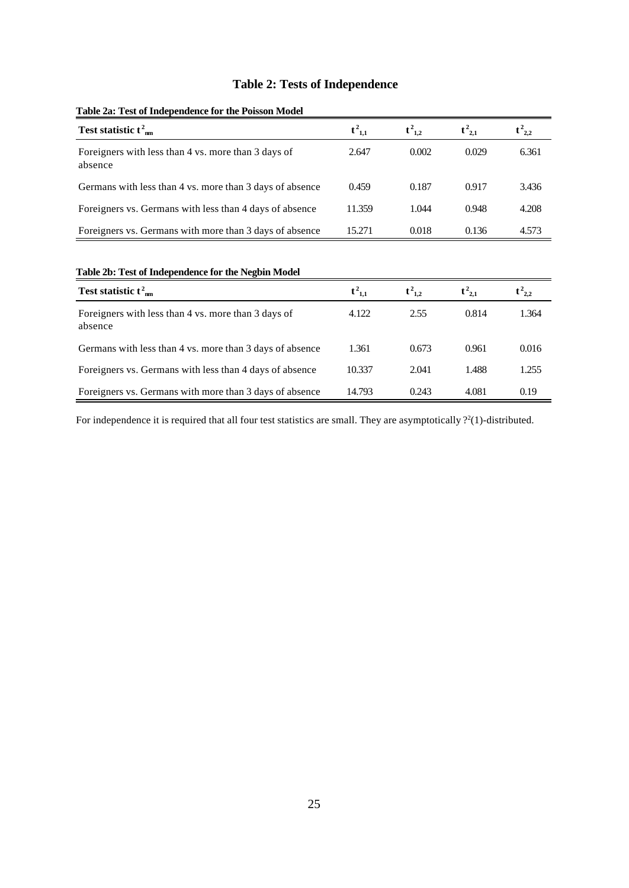### **Table 2: Tests of Independence**

| Test statistic $t^2$ <sub>nm</sub>                             | $t^2_{1,1}$ | $t^2_{1,2}$ | $t^2_{2,1}$ | $t^2_{2,2}$ |
|----------------------------------------------------------------|-------------|-------------|-------------|-------------|
| Foreigners with less than 4 vs. more than 3 days of<br>absence | 2.647       | 0.002       | 0.029       | 6.361       |
| Germans with less than 4 vs. more than 3 days of absence       | 0.459       | 0.187       | 0.917       | 3.436       |
| Foreigners vs. Germans with less than 4 days of absence        | 11.359      | 1.044       | 0.948       | 4.208       |
| Foreigners vs. Germans with more than 3 days of absence        | 15.271      | 0.018       | 0.136       | 4.573       |

### **Table 2a: Test of Independence for the Poisson Model**

**Table 2b: Test of Independence for the Negbin Model**

| Test statistic $t^2$ <sub>mm</sub>                             | $t^2_{1,1}$ | $t^2_{1,2}$ | $t^2_{2,1}$ | $t^2_{2,2}$ |
|----------------------------------------------------------------|-------------|-------------|-------------|-------------|
| Foreigners with less than 4 vs. more than 3 days of<br>absence | 4.122       | 2.55        | 0.814       | 1.364       |
| Germans with less than 4 vs. more than 3 days of absence       | 1.361       | 0.673       | 0.961       | 0.016       |
| Foreigners vs. Germans with less than 4 days of absence        | 10.337      | 2.041       | 1.488       | 1.255       |
| Foreigners vs. Germans with more than 3 days of absence        | 14.793      | 0.243       | 4.081       | 0.19        |

For independence it is required that all four test statistics are small. They are asymptotically  $\frac{2}{1}$ -distributed.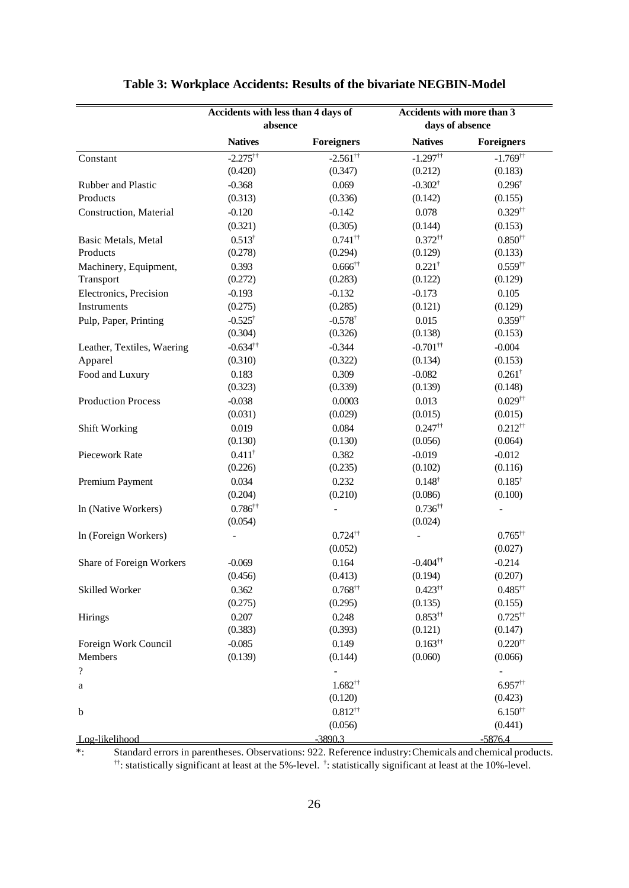|                            | Accidents with less than 4 days of |                          | Accidents with more than 3 |                          |  |  |
|----------------------------|------------------------------------|--------------------------|----------------------------|--------------------------|--|--|
|                            | absence                            |                          | days of absence            |                          |  |  |
|                            | <b>Natives</b>                     | <b>Foreigners</b>        | <b>Natives</b>             | <b>Foreigners</b>        |  |  |
| Constant                   | $-2.275$ <sup>††</sup>             | $-2.561$ <sup>††</sup>   | $-1.297$ <sup>††</sup>     | $-1.769$ <sup>††</sup>   |  |  |
|                            | (0.420)                            | (0.347)                  | (0.212)                    | (0.183)                  |  |  |
| Rubber and Plastic         | $-0.368$                           | 0.069                    | $-0.302^{\dagger}$         | $0.296^{\dagger}$        |  |  |
| Products                   | (0.313)                            | (0.336)                  | (0.142)                    | (0.155)                  |  |  |
| Construction, Material     | $-0.120$                           | $-0.142$                 | 0.078                      | $0.329^{\dagger\dagger}$ |  |  |
|                            | (0.321)                            | (0.305)                  | (0.144)                    | (0.153)                  |  |  |
| Basic Metals, Metal        | $0.513^{\dagger}$                  | $0.741$ <sup>††</sup>    | $0.372$ <sup>††</sup>      | $0.850^{++}$             |  |  |
| Products                   | (0.278)                            | (0.294)                  | (0.129)                    | (0.133)                  |  |  |
|                            | 0.393                              | $0.666^{\dagger\dagger}$ | $0.221^{\dagger}$          | $0.559$ <sup>††</sup>    |  |  |
| Machinery, Equipment,      |                                    |                          |                            |                          |  |  |
| Transport                  | (0.272)                            | (0.283)                  | (0.122)                    | (0.129)                  |  |  |
| Electronics, Precision     | $-0.193$                           | $-0.132$                 | $-0.173$                   | 0.105                    |  |  |
| Instruments                | (0.275)                            | (0.285)                  | (0.121)                    | (0.129)                  |  |  |
| Pulp, Paper, Printing      | $-0.525^{\dagger}$                 | $-0.578$ <sup>†</sup>    | 0.015                      | $0.359$ <sup>††</sup>    |  |  |
|                            | (0.304)                            | (0.326)                  | (0.138)                    | (0.153)                  |  |  |
| Leather, Textiles, Waering | $-0.634$ <sup>††</sup>             | $-0.344$                 | $-0.701$ <sup>††</sup>     | $-0.004$                 |  |  |
| Apparel                    | (0.310)                            | (0.322)                  | (0.134)                    | (0.153)                  |  |  |
| Food and Luxury            | 0.183                              | 0.309                    | $-0.082$                   | $0.261^{\dagger}$        |  |  |
|                            | (0.323)                            | (0.339)                  | (0.139)                    | (0.148)                  |  |  |
| <b>Production Process</b>  | $-0.038$                           | 0.0003                   | 0.013                      | $0.029^{\dagger\dagger}$ |  |  |
|                            | (0.031)                            | (0.029)                  | (0.015)                    | (0.015)                  |  |  |
| Shift Working              | 0.019                              | 0.084                    | $0.247$ <sup>††</sup>      | $0.212^{++}$             |  |  |
|                            | (0.130)                            | (0.130)                  | (0.056)                    | (0.064)                  |  |  |
| Piecework Rate             | $0.411^{\dagger}$                  | 0.382                    | $-0.019$                   | $-0.012$                 |  |  |
|                            | (0.226)                            | (0.235)                  | (0.102)                    | (0.116)                  |  |  |
| Premium Payment            | 0.034                              | 0.232                    | $0.148^{\dagger}$          | $0.185^{\dagger}$        |  |  |
|                            | (0.204)                            | (0.210)                  | (0.086)                    | (0.100)                  |  |  |
| In (Native Workers)        | $0.786^{\dagger\dagger}$           |                          | $0.736^{\dagger\dagger}$   |                          |  |  |
|                            | (0.054)                            |                          | (0.024)                    |                          |  |  |
| In (Foreign Workers)       |                                    | $0.724$ <sup>††</sup>    |                            | $0.765^{\dagger\dagger}$ |  |  |
|                            |                                    | (0.052)                  |                            | (0.027)                  |  |  |
| Share of Foreign Workers   | $-0.069$                           | 0.164                    | $-0.404$ <sup>††</sup>     | $-0.214$                 |  |  |
|                            | (0.456)                            | (0.413)                  | (0.194)                    | (0.207)                  |  |  |
|                            |                                    |                          |                            |                          |  |  |
| Skilled Worker             | 0.362                              | $0.768^{\dagger\dagger}$ | $0.423^{\dagger\dagger}$   | $0.485^{\dagger\dagger}$ |  |  |
|                            | (0.275)                            | (0.295)                  | (0.135)                    | (0.155)                  |  |  |
| Hirings                    | 0.207                              | 0.248                    | $0.853^{++}$               | $0.725$ <sup>††</sup>    |  |  |
|                            | (0.383)                            | (0.393)                  | (0.121)                    | (0.147)                  |  |  |
| Foreign Work Council       | $-0.085$                           | 0.149                    | $0.163^{\dagger\dagger}$   | $0.220^{++}$             |  |  |
| Members                    | (0.139)                            | (0.144)                  | (0.060)                    | (0.066)                  |  |  |
| $\overline{\mathcal{L}}$   |                                    |                          |                            |                          |  |  |
| a                          |                                    | $1.682^{++}$             |                            | $6.957$ <sup>††</sup>    |  |  |
|                            |                                    | (0.120)                  |                            | (0.423)                  |  |  |
| $\mathbf b$                |                                    | $0.812^{++}$             |                            | $6.150^{++}$             |  |  |
|                            |                                    | (0.056)                  |                            | (0.441)                  |  |  |
| Log-likelihood             |                                    | $-3890.3$                |                            | $-5876.4$                |  |  |

### **Table 3: Workplace Accidents: Results of the bivariate NEGBIN-Model**

\*: Standard errors in parentheses. Observations: 922. Reference industry: Chemicals and chemical products. ††: statistically significant at least at the 5%-level. †: statistically significant at least at the 10%-level.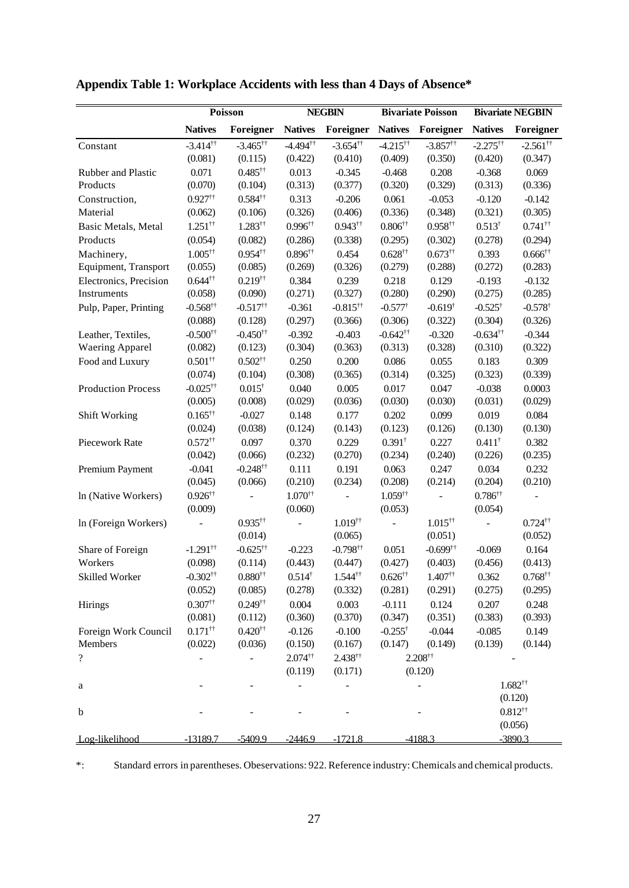|                           |                           | Poisson                   | <b>NEGBIN</b>            |                          | <b>Bivariate Poisson</b> |                          | <b>Bivariate NEGBIN</b>   |                          |
|---------------------------|---------------------------|---------------------------|--------------------------|--------------------------|--------------------------|--------------------------|---------------------------|--------------------------|
|                           | <b>Natives</b>            | Foreigner                 | <b>Natives</b>           | Foreigner                | <b>Natives</b>           | Foreigner                | <b>Natives</b>            | Foreigner                |
| Constant                  | $-3.414$ <sup>††</sup>    | $-3.465$ <sup>††</sup>    | $-4.494$ <sup>††</sup>   | $-3.654$ <sup>††</sup>   | $-4.215$ <sup>††</sup>   | $-3.857$ <sup>††</sup>   | $-2.275^{\dagger\dagger}$ | $-2.561$ <sup>††</sup>   |
|                           | (0.081)                   | (0.115)                   | (0.422)                  | (0.410)                  | (0.409)                  | (0.350)                  | (0.420)                   | (0.347)                  |
| Rubber and Plastic        | 0.071                     | $0.485^{\dagger\dagger}$  | 0.013                    | $-0.345$                 | $-0.468$                 | 0.208                    | $-0.368$                  | 0.069                    |
| Products                  | (0.070)                   | (0.104)                   | (0.313)                  | (0.377)                  | (0.320)                  | (0.329)                  | (0.313)                   | (0.336)                  |
| Construction,             | $0.927$ <sup>††</sup>     | $0.584$ <sup>††</sup>     | 0.313                    | $-0.206$                 | 0.061                    | $-0.053$                 | $-0.120$                  | $-0.142$                 |
| Material                  | (0.062)                   | (0.106)                   | (0.326)                  | (0.406)                  | (0.336)                  | (0.348)                  | (0.321)                   | (0.305)                  |
| Basic Metals, Metal       | $1.251$ <sup>††</sup>     | $1.283^{\dagger\dagger}$  | $0.996^{\dagger\dagger}$ | $0.943^{\dagger\dagger}$ | $0.806^{\dagger\dagger}$ | $0.958$ <sup>††</sup>    | $0.513^{\dagger}$         | $0.741$ <sup>††</sup>    |
| Products                  | (0.054)                   | (0.082)                   | (0.286)                  | (0.338)                  | (0.295)                  | (0.302)                  | (0.278)                   | (0.294)                  |
| Machinery,                | $1.005^{\dagger\dagger}$  | $0.954$ <sup>††</sup>     | $0.896^{\dagger\dagger}$ | 0.454                    | $0.628^{\dagger\dagger}$ | $0.673^{\dagger\dagger}$ | 0.393                     | $0.666^{\dagger\dagger}$ |
| Equipment, Transport      | (0.055)                   | (0.085)                   | (0.269)                  | (0.326)                  | (0.279)                  | (0.288)                  | (0.272)                   | (0.283)                  |
| Electronics, Precision    | $0.644^{\dagger\dagger}$  | $0.219^{\dagger\dagger}$  | 0.384                    | 0.239                    | 0.218                    | 0.129                    | $-0.193$                  | $-0.132$                 |
| Instruments               | (0.058)                   | (0.090)                   | (0.271)                  | (0.327)                  | (0.280)                  | (0.290)                  | (0.275)                   | (0.285)                  |
| Pulp, Paper, Printing     | $-0.568^{\dagger\dagger}$ | $-0.517$ <sup>††</sup>    | $-0.361$                 | $-0.815$ <sup>††</sup>   | $-0.577^{\dagger}$       | $-0.619^{\dagger}$       | $-0.525^{\dagger}$        | $-0.578$ <sup>†</sup>    |
|                           | (0.088)                   | (0.128)                   | (0.297)                  | (0.366)                  | (0.306)                  | (0.322)                  | (0.304)                   | (0.326)                  |
| Leather, Textiles,        | $-0.500^{++}$             | $-0.450$ <sup>††</sup>    | $-0.392$                 | $-0.403$                 | $-0.642$ <sup>††</sup>   | $-0.320$                 | $-0.634$ <sup>††</sup>    | $-0.344$                 |
| <b>Waering Apparel</b>    | (0.082)                   | (0.123)                   | (0.304)                  | (0.363)                  | (0.313)                  | (0.328)                  | (0.310)                   | (0.322)                  |
| Food and Luxury           | $0.501$ <sup>††</sup>     | $0.502^{\dagger\dagger}$  | 0.250                    | 0.200                    | 0.086                    | 0.055                    | 0.183                     | 0.309                    |
|                           | (0.074)                   | (0.104)                   | (0.308)                  | (0.365)                  | (0.314)                  | (0.325)                  | (0.323)                   | (0.339)                  |
| <b>Production Process</b> | $-0.025$ <sup>††</sup>    | $0.015^{\dagger}$         | 0.040                    | 0.005                    | 0.017                    | 0.047                    | $-0.038$                  | 0.0003                   |
|                           | (0.005)                   | (0.008)                   | (0.029)                  | (0.036)                  | (0.030)                  | (0.030)                  | (0.031)                   | (0.029)                  |
| Shift Working             | $0.165^{\dagger\dagger}$  | $-0.027$                  | 0.148                    | 0.177                    | 0.202                    | 0.099                    | 0.019                     | 0.084                    |
|                           | (0.024)                   | (0.038)                   | (0.124)                  | (0.143)                  | (0.123)                  | (0.126)                  | (0.130)                   | (0.130)                  |
| Piecework Rate            | $0.572^{\dagger\dagger}$  | 0.097                     | 0.370                    | 0.229                    | $0.391^{\dagger}$        | 0.227                    | $0.411^{\dagger}$         | 0.382                    |
|                           | (0.042)                   | (0.066)                   | (0.232)                  | (0.270)                  | (0.234)                  | (0.240)                  | (0.226)                   | (0.235)                  |
| Premium Payment           | $-0.041$                  | $-0.248^{\dagger\dagger}$ | 0.111                    | 0.191                    | 0.063                    | 0.247                    | 0.034                     | 0.232                    |
|                           | (0.045)                   | (0.066)                   | (0.210)                  | (0.234)                  | (0.208)                  | (0.214)                  | (0.204)                   | (0.210)                  |
| In (Native Workers)       | $0.926^{\dagger\dagger}$  |                           | $1.070^{\dagger\dagger}$ |                          | $1.059$ <sup>††</sup>    |                          | $0.786^{\dagger\dagger}$  |                          |
|                           | (0.009)                   |                           | (0.060)                  |                          | (0.053)                  |                          | (0.054)                   |                          |
| In (Foreign Workers)      |                           | $0.935^{\dagger\dagger}$  |                          | $1.019$ <sup>††</sup>    |                          | $1.015$ <sup>††</sup>    |                           | $0.724$ <sup>††</sup>    |
|                           |                           | (0.014)                   |                          | (0.065)                  |                          | (0.051)                  |                           | (0.052)                  |
| Share of Foreign          | $-1.291$ <sup>††</sup>    | $-0.625$ <sup>††</sup>    | $-0.223$                 | $-0.798$ <sup>††</sup>   | 0.051                    | $-0.699$ <sup>††</sup>   | $-0.069$                  | 0.164                    |
| Workers                   | (0.098)                   | (0.114)                   | (0.443)                  | (0.447)                  | (0.427)                  | (0.403)                  | (0.456)                   | (0.413)                  |
| Skilled Worker            | $-0.302^{+\dagger}$       | $0.880^{\dagger\dagger}$  | $0.514^{\dagger}$        | $1.544^{\dagger\dagger}$ | $0.626^{\dagger\dagger}$ | $1.407^{\dagger\dagger}$ | 0.362                     | $0.768^{\dagger\dagger}$ |
|                           | (0.052)                   | (0.085)                   | (0.278)                  | (0.332)                  | (0.281)                  | (0.291)                  | (0.275)                   | (0.295)                  |
| Hirings                   | $0.307$ <sup>††</sup>     | $0.249^{\dagger\dagger}$  | 0.004                    | 0.003                    | $-0.111$                 | 0.124                    | 0.207                     | 0.248                    |
|                           | (0.081)                   | (0.112)                   | (0.360)                  | (0.370)                  | (0.347)                  | (0.351)                  | (0.383)                   | (0.393)                  |
| Foreign Work Council      | $0.171$ <sup>††</sup>     | $0.420^{\dagger\dagger}$  | $-0.126$                 | $-0.100$                 | $-0.255^{\dagger}$       | $-0.044$                 | $-0.085$                  | 0.149                    |
| Members                   | (0.022)                   | (0.036)                   | (0.150)                  | (0.167)                  | (0.147)                  | (0.149)                  | (0.139)                   | (0.144)                  |
| $\overline{\mathcal{L}}$  |                           |                           | $2.074$ <sup>††</sup>    | $2.438^{\dagger\dagger}$ |                          | $2.208^{\dagger\dagger}$ |                           |                          |
|                           |                           |                           | (0.119)                  | (0.171)                  |                          | (0.120)                  |                           |                          |
| a                         |                           |                           |                          |                          |                          |                          |                           | $1.682^{\dagger\dagger}$ |
|                           |                           |                           |                          |                          |                          |                          |                           | (0.120)                  |
| $\mathbf b$               |                           |                           |                          |                          |                          |                          |                           | $0.812^{++}$             |
|                           |                           |                           |                          |                          |                          |                          |                           | (0.056)                  |
| Log-likelihood            | $-13189.7$                | $-5409.9$                 | $-2446.9$                | $-1721.8$                |                          | $-4188.3$                |                           | $-3890.3$                |

# **Appendix Table 1: Workplace Accidents with less than 4 Days of Absence\***

\*: Standard errors in parentheses. Obeservations: 922. Reference industry: Chemicals and chemical products.